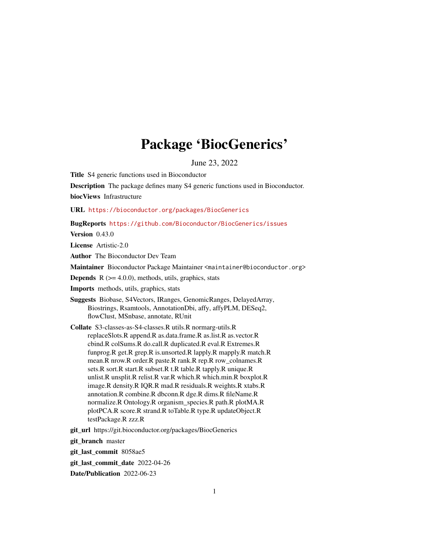# Package 'BiocGenerics'

June 23, 2022

<span id="page-0-0"></span>Title S4 generic functions used in Bioconductor

Description The package defines many S4 generic functions used in Bioconductor.

biocViews Infrastructure

URL <https://bioconductor.org/packages/BiocGenerics>

BugReports <https://github.com/Bioconductor/BiocGenerics/issues>

Version 0.43.0

License Artistic-2.0

Author The Bioconductor Dev Team

Maintainer Bioconductor Package Maintainer <maintainer@bioconductor.org>

**Depends**  $R$  ( $>= 4.0.0$ ), methods, utils, graphics, stats

Imports methods, utils, graphics, stats

Suggests Biobase, S4Vectors, IRanges, GenomicRanges, DelayedArray, Biostrings, Rsamtools, AnnotationDbi, affy, affyPLM, DESeq2, flowClust, MSnbase, annotate, RUnit

Collate S3-classes-as-S4-classes.R utils.R normarg-utils.R replaceSlots.R append.R as.data.frame.R as.list.R as.vector.R cbind.R colSums.R do.call.R duplicated.R eval.R Extremes.R funprog.R get.R grep.R is.unsorted.R lapply.R mapply.R match.R mean.R nrow.R order.R paste.R rank.R rep.R row\_colnames.R sets.R sort.R start.R subset.R t.R table.R tapply.R unique.R unlist.R unsplit.R relist.R var.R which.R which.min.R boxplot.R image.R density.R IQR.R mad.R residuals.R weights.R xtabs.R annotation.R combine.R dbconn.R dge.R dims.R fileName.R normalize.R Ontology.R organism\_species.R path.R plotMA.R plotPCA.R score.R strand.R toTable.R type.R updateObject.R testPackage.R zzz.R

git\_url https://git.bioconductor.org/packages/BiocGenerics

git\_branch master

git\_last\_commit 8058ae5

git last commit date 2022-04-26

Date/Publication 2022-06-23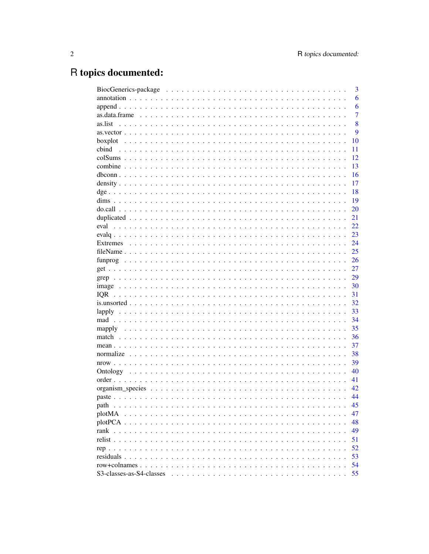# R topics documented:

|                          | 3              |
|--------------------------|----------------|
|                          | 6              |
|                          | 6              |
|                          | $\overline{7}$ |
| as.list                  | 8              |
|                          | 9              |
|                          | 10             |
| cbind                    | 11             |
|                          | 12             |
|                          | 13             |
|                          | 16             |
|                          | 17             |
|                          | 18             |
|                          | 19             |
|                          | 20             |
|                          | 21             |
|                          | 22             |
|                          | 23             |
|                          | 24             |
|                          | 25             |
|                          | 26             |
|                          | 27             |
|                          | 29             |
|                          | 30             |
|                          | 31             |
|                          | 32             |
|                          | 33             |
|                          | 34             |
|                          | 35             |
|                          | 36             |
|                          | 37             |
|                          | 38             |
|                          | 39             |
|                          | 40             |
|                          | 41             |
|                          | 42             |
|                          | 44             |
| path                     | 45             |
| plotMA                   | 47             |
|                          | 48             |
| rank                     | 49             |
| relist                   | 51             |
|                          | 52             |
|                          |                |
|                          | 53             |
|                          | 54             |
| S3-classes-as-S4-classes | 55             |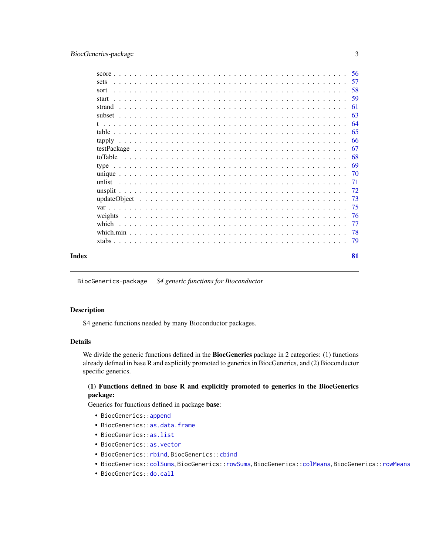# <span id="page-2-0"></span>BiocGenerics-package 3

|       | sets  |  |  |  |  |  |  |  |  |  |  |  |  |  |  |  |  |    |
|-------|-------|--|--|--|--|--|--|--|--|--|--|--|--|--|--|--|--|----|
|       | sort  |  |  |  |  |  |  |  |  |  |  |  |  |  |  |  |  |    |
|       | start |  |  |  |  |  |  |  |  |  |  |  |  |  |  |  |  |    |
|       |       |  |  |  |  |  |  |  |  |  |  |  |  |  |  |  |  |    |
|       |       |  |  |  |  |  |  |  |  |  |  |  |  |  |  |  |  |    |
|       |       |  |  |  |  |  |  |  |  |  |  |  |  |  |  |  |  |    |
|       |       |  |  |  |  |  |  |  |  |  |  |  |  |  |  |  |  |    |
|       |       |  |  |  |  |  |  |  |  |  |  |  |  |  |  |  |  |    |
|       |       |  |  |  |  |  |  |  |  |  |  |  |  |  |  |  |  |    |
|       |       |  |  |  |  |  |  |  |  |  |  |  |  |  |  |  |  |    |
|       |       |  |  |  |  |  |  |  |  |  |  |  |  |  |  |  |  |    |
|       |       |  |  |  |  |  |  |  |  |  |  |  |  |  |  |  |  |    |
|       |       |  |  |  |  |  |  |  |  |  |  |  |  |  |  |  |  |    |
|       |       |  |  |  |  |  |  |  |  |  |  |  |  |  |  |  |  |    |
|       |       |  |  |  |  |  |  |  |  |  |  |  |  |  |  |  |  |    |
|       |       |  |  |  |  |  |  |  |  |  |  |  |  |  |  |  |  |    |
|       |       |  |  |  |  |  |  |  |  |  |  |  |  |  |  |  |  |    |
|       |       |  |  |  |  |  |  |  |  |  |  |  |  |  |  |  |  |    |
|       |       |  |  |  |  |  |  |  |  |  |  |  |  |  |  |  |  |    |
|       |       |  |  |  |  |  |  |  |  |  |  |  |  |  |  |  |  |    |
| Index |       |  |  |  |  |  |  |  |  |  |  |  |  |  |  |  |  | 81 |

BiocGenerics-package *S4 generic functions for Bioconductor*

#### <span id="page-2-1"></span>Description

S4 generic functions needed by many Bioconductor packages.

# Details

We divide the generic functions defined in the **BiocGenerics** package in 2 categories: (1) functions already defined in base R and explicitly promoted to generics in BiocGenerics, and (2) Bioconductor specific generics.

# (1) Functions defined in base R and explicitly promoted to generics in the BiocGenerics package:

Generics for functions defined in package base:

- BiocGenerics:[:append](#page-5-1)
- BiocGenerics:[:as.data.frame](#page-6-1)
- BiocGenerics:[:as.list](#page-7-1)
- BiocGenerics:[:as.vector](#page-8-1)
- BiocGenerics:[:rbind](#page-10-1), BiocGenerics:[:cbind](#page-10-2)
- BiocGenerics:[:colSums](#page-11-1), BiocGenerics:[:rowSums](#page-11-2), BiocGenerics:[:colMeans](#page-11-2), BiocGenerics:[:rowMeans](#page-11-2)
- BiocGenerics:: do.call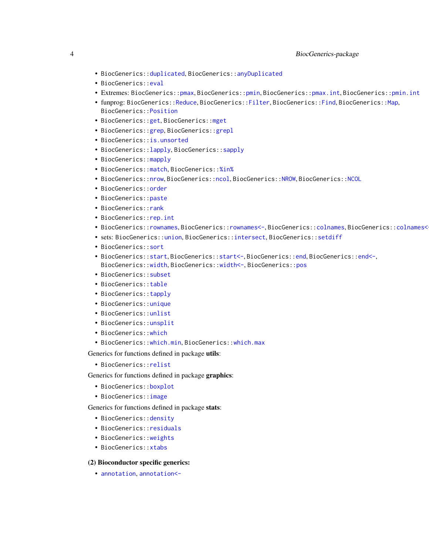- BiocGenerics:[:duplicated](#page-20-1), BiocGenerics:[:anyDuplicated](#page-20-2)
- BiocGenerics:[:eval](#page-21-1)
- Extremes: BiocGenerics:[:pmax](#page-23-1), BiocGenerics:[:pmin](#page-23-1), BiocGenerics:[:pmax.int](#page-23-1), BiocGenerics:[:pmin.int](#page-23-1)
- funprog: BiocGenerics:[:Reduce](#page-25-1), BiocGenerics:[:Filter](#page-25-1), BiocGenerics:[:Find](#page-25-1), BiocGenerics:[:Map](#page-25-1), BiocGenerics:[:Position](#page-25-1)
- BiocGenerics:[:get](#page-26-1), BiocGenerics:[:mget](#page-26-2)
- BiocGenerics:[:grep](#page-28-1), BiocGenerics:[:grepl](#page-28-2)
- BiocGenerics:[:is.unsorted](#page-31-1)
- BiocGenerics:[:lapply](#page-32-1), BiocGenerics:[:sapply](#page-32-2)
- BiocGenerics:: mapply
- BiocGenerics:[:match](#page-35-1), BiocGenerics:[:%in%](#page-35-2)
- BiocGenerics:[:nrow](#page-38-1), BiocGenerics:[:ncol](#page-38-2), BiocGenerics:[:NROW](#page-38-2), BiocGenerics:[:NCOL](#page-38-2)
- BiocGenerics:[:order](#page-40-1)
- BiocGenerics:[:paste](#page-43-1)
- BiocGenerics:[:rank](#page-48-1)
- BiocGenerics:[:rep.int](#page-51-1)
- BiocGenerics:[:rownames](#page-53-1), BiocGenerics:[:rownames<-](#page-53-1), BiocGenerics:[:colnames](#page-53-1), BiocGenerics:[:colnames<-](#page-53-1)
- sets: BiocGenerics:[:union](#page-56-1), BiocGenerics:[:intersect](#page-56-1), BiocGenerics:[:setdiff](#page-56-1)
- BiocGenerics:[:sort](#page-57-1)
- BiocGenerics:[:start](#page-58-1), BiocGenerics:[:start<-](#page-58-2), BiocGenerics:[:end](#page-58-2), BiocGenerics:[:end<-](#page-58-2), BiocGenerics:[:width](#page-58-2), BiocGenerics:[:width<-](#page-58-2), BiocGenerics:[:pos](#page-58-2)
- BiocGenerics:[:subset](#page-62-1)
- BiocGenerics:[:table](#page-64-1)
- BiocGenerics:[:tapply](#page-65-1)
- BiocGenerics:[:unique](#page-69-1)
- BiocGenerics:[:unlist](#page-70-1)
- BiocGenerics:[:unsplit](#page-71-1)
- BiocGenerics:[:which](#page-76-1)
- BiocGenerics:[:which.min](#page-77-1), BiocGenerics:[:which.max](#page-77-2)

Generics for functions defined in package utils:

• BiocGenerics:[:relist](#page-50-1)

Generics for functions defined in package graphics:

- BiocGenerics:[:boxplot](#page-9-1)
- BiocGenerics:[:image](#page-29-1)

Generics for functions defined in package stats:

- BiocGenerics:[:density](#page-16-1)
- BiocGenerics:[:residuals](#page-52-1)
- BiocGenerics:[:weights](#page-75-1)
- BiocGenerics:[:xtabs](#page-78-1)

# (2) Bioconductor specific generics:

• [annotation](#page-5-2), [annotation<-](#page-5-3)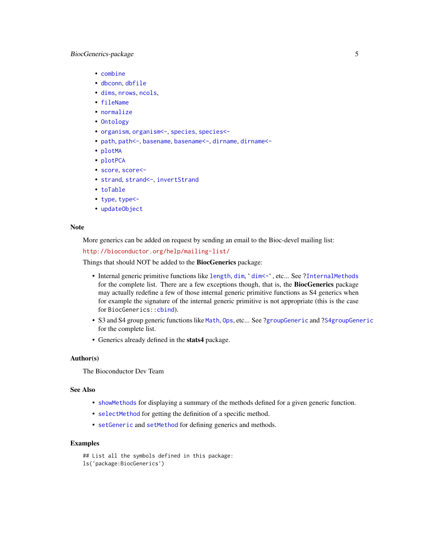# BiocGenerics-package 5

- [combine](#page-12-1)
- [dbconn](#page-15-1), [dbfile](#page-15-2)
- [dims](#page-18-1), [nrows](#page-18-2), [ncols](#page-18-2),
- [fileName](#page-24-1)
- [normalize](#page-37-1)
- [Ontology](#page-39-1)
- [organism](#page-41-1), [organism<-](#page-41-1), [species](#page-41-1), [species<-](#page-41-1)
- [path](#page-44-1), path <-, [basename](#page-44-2), basename <-, [dirname](#page-44-2), dirname <-
- [plotMA](#page-46-1)
- [plotPCA](#page-47-1)
- [score](#page-55-1), [score<-](#page-55-2)
- [strand](#page-60-1), [strand<-](#page-60-2), [invertStrand](#page-60-2)
- [toTable](#page-67-1)
- [type](#page-68-1), [type<-](#page-68-2)
- [updateObject](#page-72-1)

# **Note**

More generics can be added on request by sending an email to the Bioc-devel mailing list:

```
http://bioconductor.org/help/mailing-list/
```
Things that should NOT be added to the **BiocGenerics** package:

- Internal generic primitive functions like [length](#page-0-0), [dim](#page-0-0), `[dim<-](#page-0-0)`, etc... See [?InternalMethods](#page-0-0) for the complete list. There are a few exceptions though, that is, the BiocGenerics package may actually redefine a few of those internal generic primitive functions as S4 generics when for example the signature of the internal generic primitive is not appropriate (this is the case for BiocGenerics:[:cbind](#page-10-2)).
- S3 and S4 group generic functions like [Math](#page-0-0), [Ops](#page-0-0), etc... See [?groupGeneric](#page-0-0) and [?S4groupGeneric](#page-0-0) for the complete list.
- Generics already defined in the stats4 package.

# Author(s)

The Bioconductor Dev Team

# See Also

- [showMethods](#page-0-0) for displaying a summary of the methods defined for a given generic function.
- [selectMethod](#page-0-0) for getting the definition of a specific method.
- [setGeneric](#page-0-0) and [setMethod](#page-0-0) for defining generics and methods.

#### Examples

## List all the symbols defined in this package: ls('package:BiocGenerics')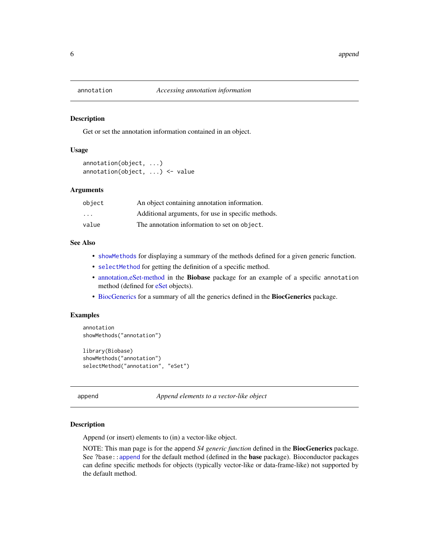<span id="page-5-3"></span><span id="page-5-2"></span><span id="page-5-0"></span>

Get or set the annotation information contained in an object.

# Usage

```
annotation(object, ...)
annotation(object, ...) <- value
```
# Arguments

| object  | An object containing annotation information.       |
|---------|----------------------------------------------------|
| $\cdot$ | Additional arguments, for use in specific methods. |
| value   | The annotation information to set on object.       |

# See Also

- [showMethods](#page-0-0) for displaying a summary of the methods defined for a given generic function.
- [selectMethod](#page-0-0) for getting the definition of a specific method.
- [annotation,eSet-method](#page-0-0) in the Biobase package for an example of a specific annotation method (defined for [eSet](#page-0-0) objects).
- [BiocGenerics](#page-2-1) for a summary of all the generics defined in the BiocGenerics package.

# Examples

```
annotation
showMethods("annotation")
library(Biobase)
showMethods("annotation")
selectMethod("annotation", "eSet")
```
<span id="page-5-1"></span>append *Append elements to a vector-like object*

#### **Description**

Append (or insert) elements to (in) a vector-like object.

NOTE: This man page is for the append *S4 generic function* defined in the BiocGenerics package. See ?base:[:append](#page-5-1) for the default method (defined in the **base** package). Bioconductor packages can define specific methods for objects (typically vector-like or data-frame-like) not supported by the default method.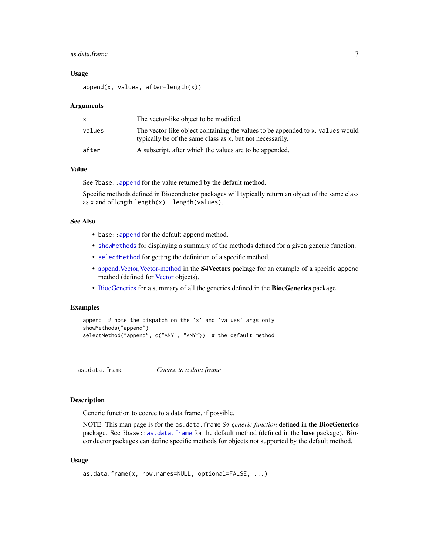#### <span id="page-6-0"></span>as.data.frame 7

# Usage

append(x, values, after=length(x))

#### Arguments

|        | The vector-like object to be modified.                                                                                                      |
|--------|---------------------------------------------------------------------------------------------------------------------------------------------|
| values | The vector-like object containing the values to be appended to x, values would<br>typically be of the same class as x, but not necessarily. |
| after  | A subscript, after which the values are to be appended.                                                                                     |

# Value

See ?base:: append for the value returned by the default method.

Specific methods defined in Bioconductor packages will typically return an object of the same class as x and of length length $(x) +$ length $(v$ alues).

# See Also

- base: : append for the default append method.
- [showMethods](#page-0-0) for displaying a summary of the methods defined for a given generic function.
- [selectMethod](#page-0-0) for getting the definition of a specific method.
- append, Vector, Vector-method in the **S4Vectors** package for an example of a specific append method (defined for [Vector](#page-0-0) objects).
- [BiocGenerics](#page-2-1) for a summary of all the generics defined in the BiocGenerics package.

# Examples

```
append # note the dispatch on the 'x' and 'values' args only
showMethods("append")
selectMethod("append", c("ANY", "ANY")) # the default method
```
<span id="page-6-1"></span>as.data.frame *Coerce to a data frame*

# **Description**

Generic function to coerce to a data frame, if possible.

NOTE: This man page is for the as.data.frame *S4 generic function* defined in the **BiocGenerics** package. See ?base:[:as.data.frame](#page-6-1) for the default method (defined in the **base** package). Bioconductor packages can define specific methods for objects not supported by the default method.

# Usage

```
as.data.frame(x, row.names=NULL, optional=FALSE, ...)
```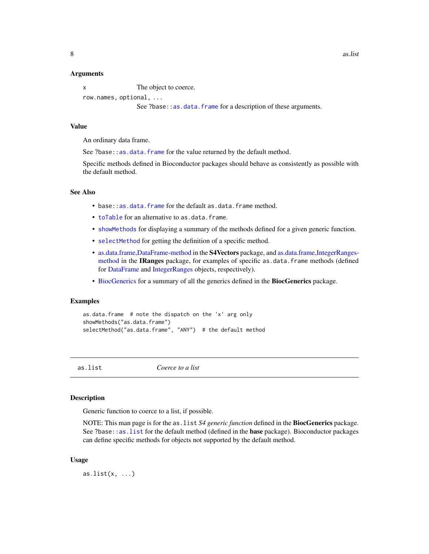#### <span id="page-7-0"></span>Arguments

x The object to coerce.

row.names, optional, ...

See ?base:[:as.data.frame](#page-6-1) for a description of these arguments.

# Value

An ordinary data frame.

See ?base: : as.data.frame for the value returned by the default method.

Specific methods defined in Bioconductor packages should behave as consistently as possible with the default method.

# See Also

- base:[:as.data.frame](#page-6-1) for the default as.data.frame method.
- [toTable](#page-67-1) for an alternative to as.data.frame.
- [showMethods](#page-0-0) for displaying a summary of the methods defined for a given generic function.
- [selectMethod](#page-0-0) for getting the definition of a specific method.
- [as.data.frame,DataFrame-method](#page-0-0) in the S4Vectors package, and [as.data.frame,IntegerRanges](#page-0-0)[method](#page-0-0) in the IRanges package, for examples of specific as.data.frame methods (defined for [DataFrame](#page-0-0) and [IntegerRanges](#page-0-0) objects, respectively).
- [BiocGenerics](#page-2-1) for a summary of all the generics defined in the BiocGenerics package.

#### Examples

```
as.data.frame # note the dispatch on the 'x' arg only
showMethods("as.data.frame")
selectMethod("as.data.frame", "ANY") # the default method
```
<span id="page-7-1"></span>as.list *Coerce to a list*

#### Description

Generic function to coerce to a list, if possible.

NOTE: This man page is for the as.list *S4 generic function* defined in the BiocGenerics package. See ?base:[:as.list](#page-7-1) for the default method (defined in the **base** package). Bioconductor packages can define specific methods for objects not supported by the default method.

#### Usage

as.list $(x, \ldots)$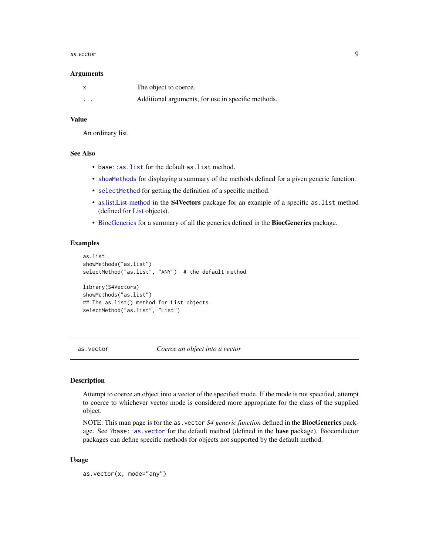#### <span id="page-8-0"></span>as.vector 9

#### Arguments

|          | The object to coerce.                              |
|----------|----------------------------------------------------|
| $\cdots$ | Additional arguments, for use in specific methods. |

# Value

An ordinary list.

# See Also

- base:: as. list for the default as. list method.
- [showMethods](#page-0-0) for displaying a summary of the methods defined for a given generic function.
- [selectMethod](#page-0-0) for getting the definition of a specific method.
- [as.list,List-method](#page-0-0) in the S4Vectors package for an example of a specific as.list method (defined for [List](#page-0-0) objects).
- [BiocGenerics](#page-2-1) for a summary of all the generics defined in the BiocGenerics package.

# Examples

```
as.list
showMethods("as.list")
selectMethod("as.list", "ANY") # the default method
library(S4Vectors)
showMethods("as.list")
## The as.list() method for List objects:
selectMethod("as.list", "List")
```
<span id="page-8-1"></span>as.vector *Coerce an object into a vector*

# Description

Attempt to coerce an object into a vector of the specified mode. If the mode is not specified, attempt to coerce to whichever vector mode is considered more appropriate for the class of the supplied object.

NOTE: This man page is for the as.vector *S4 generic function* defined in the BiocGenerics package. See ?base:[:as.vector](#page-8-1) for the default method (defined in the base package). Bioconductor packages can define specific methods for objects not supported by the default method.

# Usage

as.vector(x, mode="any")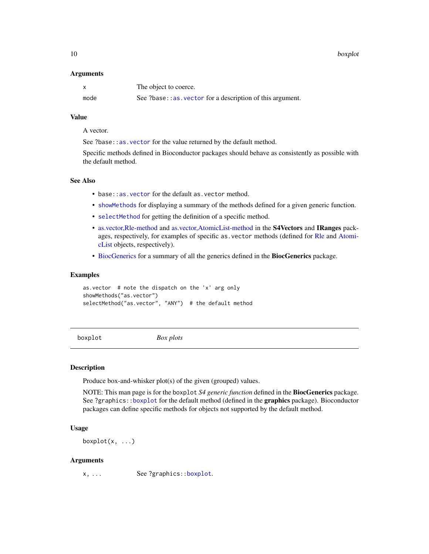<span id="page-9-0"></span>10 boxplot

#### Arguments

|      | The object to coerce.                                      |
|------|------------------------------------------------------------|
| mode | See ?base: : as vector for a description of this argument. |

# Value

A vector.

See ?base:[:as.vector](#page-8-1) for the value returned by the default method.

Specific methods defined in Bioconductor packages should behave as consistently as possible with the default method.

# See Also

- base: : as. vector for the default as. vector method.
- [showMethods](#page-0-0) for displaying a summary of the methods defined for a given generic function.
- [selectMethod](#page-0-0) for getting the definition of a specific method.
- [as.vector,Rle-method](#page-0-0) and [as.vector,AtomicList-method](#page-0-0) in the S4Vectors and IRanges packages, respectively, for examples of specific as.vector methods (defined for [Rle](#page-0-0) and [Atomi](#page-0-0)[cList](#page-0-0) objects, respectively).
- [BiocGenerics](#page-2-1) for a summary of all the generics defined in the BiocGenerics package.

#### Examples

```
as.vector # note the dispatch on the 'x' arg only
showMethods("as.vector")
selectMethod("as.vector", "ANY") # the default method
```
<span id="page-9-1"></span>

boxplot *Box plots*

#### Description

Produce box-and-whisker plot(s) of the given (grouped) values.

NOTE: This man page is for the boxplot *S4 generic function* defined in the BiocGenerics package. See ?graphics:[:boxplot](#page-9-1) for the default method (defined in the graphics package). Bioconductor packages can define specific methods for objects not supported by the default method.

# Usage

 $boxplot(x, \ldots)$ 

#### Arguments

x, ... See ?graphics:[:boxplot](#page-9-1).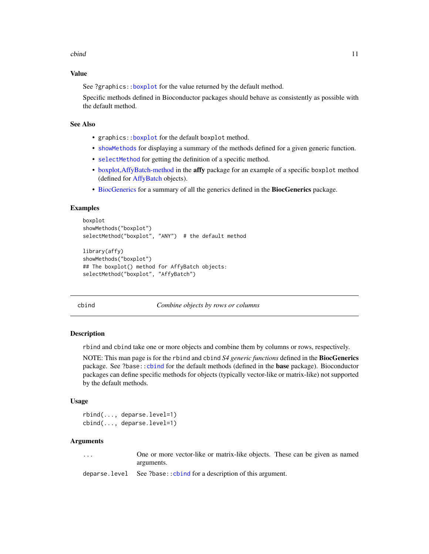#### <span id="page-10-0"></span>cbind 11

# Value

See ?graphics:[:boxplot](#page-9-1) for the value returned by the default method.

Specific methods defined in Bioconductor packages should behave as consistently as possible with the default method.

# See Also

- graphics:[:boxplot](#page-9-1) for the default boxplot method.
- [showMethods](#page-0-0) for displaying a summary of the methods defined for a given generic function.
- [selectMethod](#page-0-0) for getting the definition of a specific method.
- [boxplot,AffyBatch-method](#page-0-0) in the affy package for an example of a specific boxplot method (defined for [AffyBatch](#page-0-0) objects).
- [BiocGenerics](#page-2-1) for a summary of all the generics defined in the BiocGenerics package.

#### Examples

```
boxplot
showMethods("boxplot")
selectMethod("boxplot", "ANY") # the default method
library(affy)
showMethods("boxplot")
## The boxplot() method for AffyBatch objects:
selectMethod("boxplot", "AffyBatch")
```
<span id="page-10-2"></span>cbind *Combine objects by rows or columns*

#### <span id="page-10-1"></span>Description

rbind and cbind take one or more objects and combine them by columns or rows, respectively.

NOTE: This man page is for the rbind and cbind *S4 generic functions* defined in the BiocGenerics package. See ?base:[:cbind](#page-10-2) for the default methods (defined in the base package). Bioconductor packages can define specific methods for objects (typically vector-like or matrix-like) not supported by the default methods.

# Usage

```
rbind(..., deparse.level=1)
cbind(..., deparse.level=1)
```
#### Arguments

... One or more vector-like or matrix-like objects. These can be given as named arguments.

deparse.level See ?base:: cbind for a description of this argument.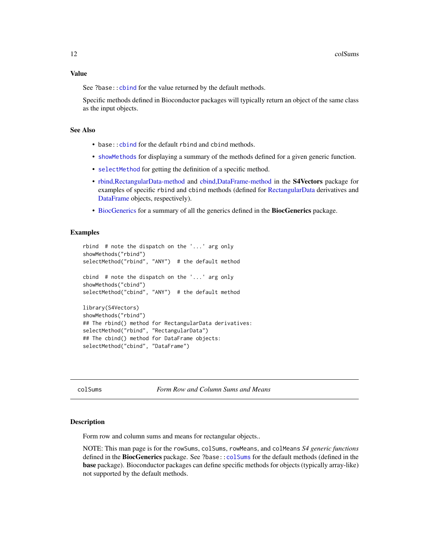# <span id="page-11-0"></span>Value

See ?base:: cbind for the value returned by the default methods.

Specific methods defined in Bioconductor packages will typically return an object of the same class as the input objects.

# See Also

- base:: cbind for the default rbind and cbind methods.
- [showMethods](#page-0-0) for displaying a summary of the methods defined for a given generic function.
- [selectMethod](#page-0-0) for getting the definition of a specific method.
- [rbind,RectangularData-method](#page-0-0) and [cbind,DataFrame-method](#page-0-0) in the S4Vectors package for examples of specific rbind and cbind methods (defined for [RectangularData](#page-0-0) derivatives and [DataFrame](#page-0-0) objects, respectively).
- [BiocGenerics](#page-2-1) for a summary of all the generics defined in the BiocGenerics package.

# Examples

```
rbind # note the dispatch on the '...' arg only
showMethods("rbind")
selectMethod("rbind", "ANY") # the default method
cbind # note the dispatch on the '...' arg only
showMethods("cbind")
selectMethod("cbind", "ANY") # the default method
library(S4Vectors)
showMethods("rbind")
## The rbind() method for RectangularData derivatives:
selectMethod("rbind", "RectangularData")
## The cbind() method for DataFrame objects:
```
selectMethod("cbind", "DataFrame")

<span id="page-11-1"></span>

colSums *Form Row and Column Sums and Means*

#### <span id="page-11-2"></span>Description

Form row and column sums and means for rectangular objects..

NOTE: This man page is for the rowSums, colSums, rowMeans, and colMeans *S4 generic functions* defined in the BiocGenerics package. See ?base:[:colSums](#page-11-1) for the default methods (defined in the base package). Bioconductor packages can define specific methods for objects (typically array-like) not supported by the default methods.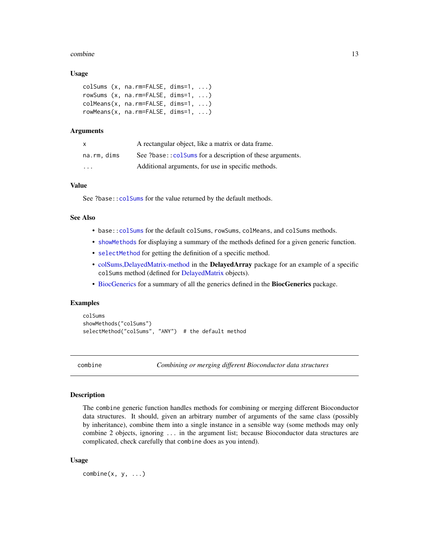#### <span id="page-12-0"></span>combine the combine of the combine the combine of the combine of the combine of the combine of the combine of the combine of the combine of the combine of the combine of the combine of the combine of the combine of the com

#### Usage

```
colSums (x, na.rm=FALSE, dims=1, ...)
rowSums (x, na.rm=FALSE, dims=1, ...)
colMeans(x, na.rm=FALSE, dims=1, ...)
rowMeans(x, na.rm=FALSE, dims=1, ...)
```
# Arguments

| $\mathsf{x}$         | A rectangular object, like a matrix or data frame.        |
|----------------------|-----------------------------------------------------------|
| na.rm, dims          | See ?base:: colsums for a description of these arguments. |
| $\ddot{\phantom{0}}$ | Additional arguments, for use in specific methods.        |

# Value

See ?base:: colSums for the value returned by the default methods.

#### See Also

- base:[:colSums](#page-11-1) for the default colSums, rowSums, colMeans, and colSums methods.
- [showMethods](#page-0-0) for displaying a summary of the methods defined for a given generic function.
- [selectMethod](#page-0-0) for getting the definition of a specific method.
- [colSums,DelayedMatrix-method](#page-0-0) in the DelayedArray package for an example of a specific colSums method (defined for [DelayedMatrix](#page-0-0) objects).
- [BiocGenerics](#page-2-1) for a summary of all the generics defined in the BiocGenerics package.

# Examples

colSums showMethods("colSums") selectMethod("colSums", "ANY") # the default method

<span id="page-12-1"></span>combine *Combining or merging different Bioconductor data structures*

#### Description

The combine generic function handles methods for combining or merging different Bioconductor data structures. It should, given an arbitrary number of arguments of the same class (possibly by inheritance), combine them into a single instance in a sensible way (some methods may only combine 2 objects, ignoring ... in the argument list; because Bioconductor data structures are complicated, check carefully that combine does as you intend).

# Usage

 $combine(x, y, \ldots)$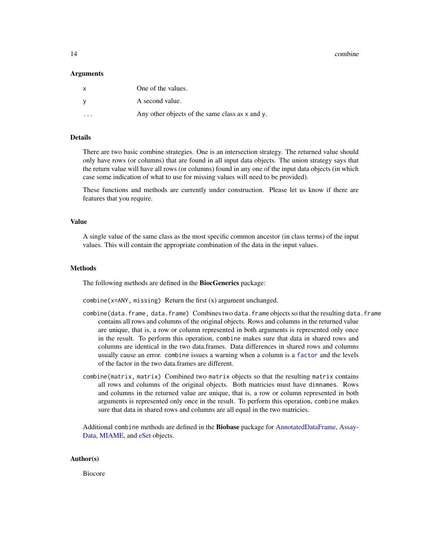14 combine

#### Arguments

| X | One of the values.                                   |
|---|------------------------------------------------------|
|   | A second value.                                      |
| . | Any other objects of the same class as $x$ and $y$ . |

# Details

There are two basic combine strategies. One is an intersection strategy. The returned value should only have rows (or columns) that are found in all input data objects. The union strategy says that the return value will have all rows (or columns) found in any one of the input data objects (in which case some indication of what to use for missing values will need to be provided).

These functions and methods are currently under construction. Please let us know if there are features that you require.

# Value

A single value of the same class as the most specific common ancestor (in class terms) of the input values. This will contain the appropriate combination of the data in the input values.

#### Methods

The following methods are defined in the **BiocGenerics** package:

 $combine(x=ANY, missing)$  Return the first  $(x)$  argument unchanged.

- combine(data.frame, data.frame) Combines two data.frame objects so that the resulting data.frame contains all rows and columns of the original objects. Rows and columns in the returned value are unique, that is, a row or column represented in both arguments is represented only once in the result. To perform this operation, combine makes sure that data in shared rows and columns are identical in the two data.frames. Data differences in shared rows and columns usually cause an error. combine issues a warning when a column is a [factor](#page-0-0) and the levels of the factor in the two data.frames are different.
- combine(matrix, matrix) Combined two matrix objects so that the resulting matrix contains all rows and columns of the original objects. Both matricies must have dimnames. Rows and columns in the returned value are unique, that is, a row or column represented in both arguments is represented only once in the result. To perform this operation, combine makes sure that data in shared rows and columns are all equal in the two matricies.

Additional combine methods are defined in the Biobase package for [AnnotatedDataFrame,](#page-0-0) [Assay-](#page-0-0)[Data,](#page-0-0) [MIAME,](#page-0-0) and [eSet](#page-0-0) objects.

# Author(s)

Biocore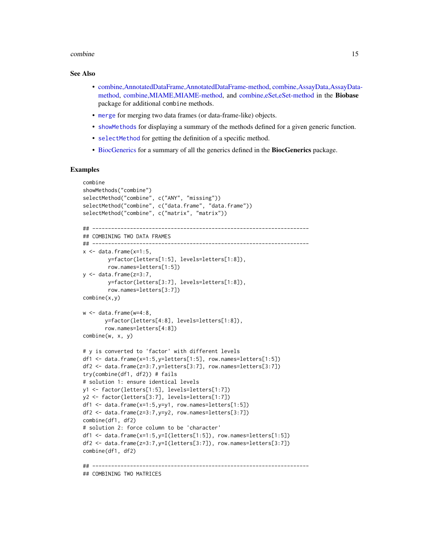#### combine the combine of the combine of the combine of the combine of the combine of the combine of the combine of the combine of the combine of the combine of the combine of the combine of the combine of the combine of the

# See Also

- [combine,AnnotatedDataFrame,AnnotatedDataFrame-method,](#page-0-0) [combine,AssayData,AssayData](#page-0-0)[method,](#page-0-0) [combine,MIAME,MIAME-method,](#page-0-0) and [combine,eSet,eSet-method](#page-0-0) in the Biobase package for additional combine methods.
- [merge](#page-0-0) for merging two data frames (or data-frame-like) objects.
- [showMethods](#page-0-0) for displaying a summary of the methods defined for a given generic function.
- [selectMethod](#page-0-0) for getting the definition of a specific method.
- [BiocGenerics](#page-2-1) for a summary of all the generics defined in the BiocGenerics package.

```
combine
showMethods("combine")
selectMethod("combine", c("ANY", "missing"))
selectMethod("combine", c("data.frame", "data.frame"))
selectMethod("combine", c("matrix", "matrix"))
## ---------------------------------------------------------------------
## COMBINING TWO DATA FRAMES
## ---------------------------------------------------------------------
x \le - data.frame(x=1:5,
        y=factor(letters[1:5], levels=letters[1:8]),
        row.names=letters[1:5])
y \le - data.frame(z=3:7,
        y=factor(letters[3:7], levels=letters[1:8]),
        row.names=letters[3:7])
combine(x,y)
w < - data.frame(w=4:8,
       y=factor(letters[4:8], levels=letters[1:8]),
       row.names=letters[4:8])
combine(w, x, y)
# y is converted to 'factor' with different levels
df1 <- data.frame(x=1:5,y=letters[1:5], row.names=letters[1:5])
df2 <- data.frame(z=3:7,y=letters[3:7], row.names=letters[3:7])
try(combine(df1, df2)) # fails
# solution 1: ensure identical levels
y1 <- factor(letters[1:5], levels=letters[1:7])
y2 <- factor(letters[3:7], levels=letters[1:7])
df1 <- data.frame(x=1:5,y=y1, row.names=letters[1:5])
df2 <- data.frame(z=3:7,y=y2, row.names=letters[3:7])
combine(df1, df2)
# solution 2: force column to be 'character'
df1 <- data.frame(x=1:5,y=I(letters[1:5]), row.names=letters[1:5])
df2 <- data.frame(z=3:7,y=I(letters[3:7]), row.names=letters[3:7])
combine(df1, df2)
## ---------------------------------------------------------------------
## COMBINING TWO MATRICES
```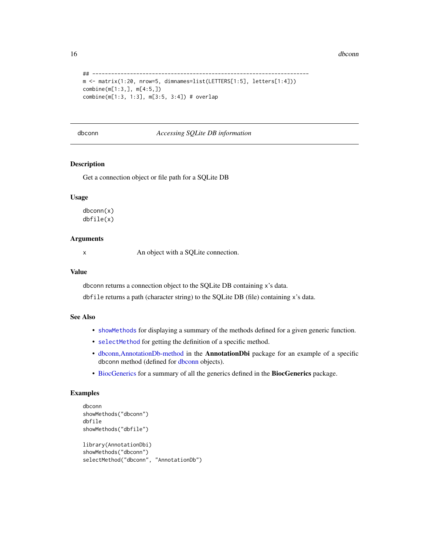<span id="page-15-0"></span>16 dbconn and the state of the state of the state of the state of the state of the state of the state of the state of the state of the state of the state of the state of the state of the state of the state of the state of

```
## ---------------------------------------------------------------------
m <- matrix(1:20, nrow=5, dimnames=list(LETTERS[1:5], letters[1:4]))
combine(m[1:3,], m[4:5,])
combine(m[1:3, 1:3], m[3:5, 3:4]) # overlap
```
# <span id="page-15-1"></span>dbconn *Accessing SQLite DB information*

# <span id="page-15-2"></span>Description

Get a connection object or file path for a SQLite DB

#### Usage

dbconn(x) dbfile(x)

# Arguments

x An object with a SQLite connection.

# Value

dbconn returns a connection object to the SQLite DB containing x's data.

dbfile returns a path (character string) to the SQLite DB (file) containing x's data.

# See Also

- [showMethods](#page-0-0) for displaying a summary of the methods defined for a given generic function.
- [selectMethod](#page-0-0) for getting the definition of a specific method.
- [dbconn,AnnotationDb-method](#page-0-0) in the AnnotationDbi package for an example of a specific dbconn method (defined for [dbconn](#page-15-1) objects).
- [BiocGenerics](#page-2-1) for a summary of all the generics defined in the BiocGenerics package.

```
dbconn
showMethods("dbconn")
dbfile
showMethods("dbfile")
library(AnnotationDbi)
showMethods("dbconn")
selectMethod("dbconn", "AnnotationDb")
```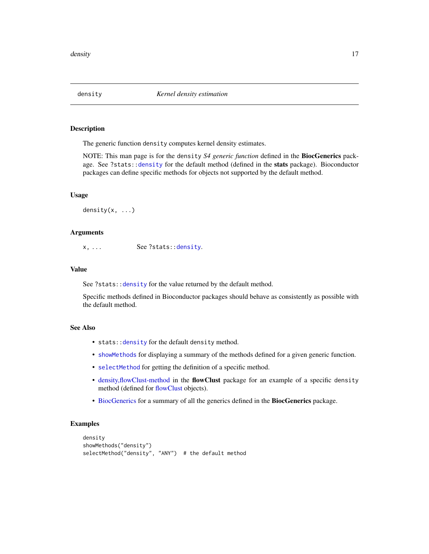<span id="page-16-1"></span><span id="page-16-0"></span>

The generic function density computes kernel density estimates.

NOTE: This man page is for the density *S4 generic function* defined in the BiocGenerics pack-age. See ?stats:[:density](#page-16-1) for the default method (defined in the stats package). Bioconductor packages can define specific methods for objects not supported by the default method.

# Usage

density $(x, \ldots)$ 

# Arguments

x, ... See ?stats:[:density](#page-16-1).

# Value

See ?stats:: density for the value returned by the default method.

Specific methods defined in Bioconductor packages should behave as consistently as possible with the default method.

# See Also

- stats:[:density](#page-16-1) for the default density method.
- [showMethods](#page-0-0) for displaying a summary of the methods defined for a given generic function.
- [selectMethod](#page-0-0) for getting the definition of a specific method.
- [density,flowClust-method](#page-0-0) in the flowClust package for an example of a specific density method (defined for [flowClust](#page-0-0) objects).
- [BiocGenerics](#page-2-1) for a summary of all the generics defined in the BiocGenerics package.

```
density
showMethods("density")
selectMethod("density", "ANY") # the default method
```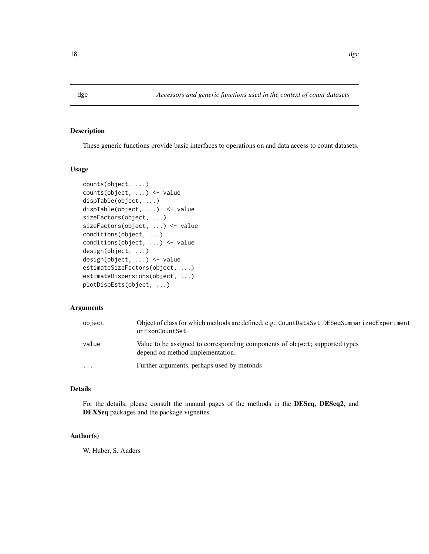These generic functions provide basic interfaces to operations on and data access to count datasets.

# Usage

```
counts(object, ...)
counts(object, ...) <- value
dispTable(object, ...)
dispTable(object, ...) <- value
sizeFactors(object, ...)
sizeFactors(object, ...) <- value
conditions(object, ...)
conditions(object, ...) <- value
design(object, ...)
design(object, ...) <- value
estimateSizeFactors(object, ...)
estimateDispersions(object, ...)
plotDispEsts(object, ...)
```
# Arguments

| object    | Object of class for which methods are defined, e.g., CountDataSet, DESeqSummarizedExperiment<br>or ExonCountSet. |
|-----------|------------------------------------------------------------------------------------------------------------------|
| value     | Value to be assigned to corresponding components of object; supported types<br>depend on method implementation.  |
| $\ddotsc$ | Further arguments, perhaps used by metohds                                                                       |

# Details

For the details, please consult the manual pages of the methods in the DESeq, DESeq2, and DEXSeq packages and the package vignettes.

# Author(s)

W. Huber, S. Anders

<span id="page-17-0"></span>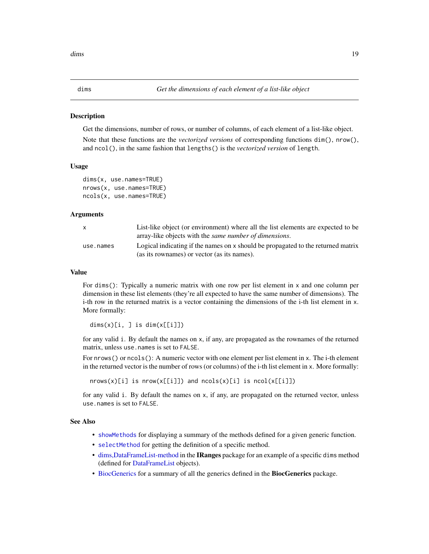<span id="page-18-2"></span><span id="page-18-1"></span><span id="page-18-0"></span>

Get the dimensions, number of rows, or number of columns, of each element of a list-like object.

Note that these functions are the *vectorized versions* of corresponding functions dim(), nrow(), and ncol(), in the same fashion that lengths() is the *vectorized version* of length.

#### Usage

```
dims(x, use.names=TRUE)
nrows(x, use.names=TRUE)
ncols(x, use.names=TRUE)
```
# Arguments

| $\mathsf{x}$ | List-like object (or environment) where all the list elements are expected to be<br>array-like objects with the <i>same number of dimensions</i> . |
|--------------|----------------------------------------------------------------------------------------------------------------------------------------------------|
| use.names    | Logical indicating if the names on x should be propagated to the returned matrix<br>(as its rownames) or vector (as its names).                    |

#### Value

For dims(): Typically a numeric matrix with one row per list element in x and one column per dimension in these list elements (they're all expected to have the same number of dimensions). The i-th row in the returned matrix is a vector containing the dimensions of the i-th list element in x. More formally:

```
dim(s)[i, ] is dim(x[[i]])
```
for any valid i. By default the names on x, if any, are propagated as the rownames of the returned matrix, unless use.names is set to FALSE.

For nrows() or ncols(): A numeric vector with one element per list element in x. The i-th element in the returned vector is the number of rows (or columns) of the i-th list element in x. More formally:

nrows(x)[i] is nrow(x[[i]]) and ncols(x)[i] is ncol(x[[i]])

for any valid i. By default the names on x, if any, are propagated on the returned vector, unless use.names is set to FALSE.

#### See Also

- [showMethods](#page-0-0) for displaying a summary of the methods defined for a given generic function.
- [selectMethod](#page-0-0) for getting the definition of a specific method.
- [dims,DataFrameList-method](#page-0-0) in the IRanges package for an example of a specific dims method (defined for [DataFrameList](#page-0-0) objects).
- [BiocGenerics](#page-2-1) for a summary of all the generics defined in the BiocGenerics package.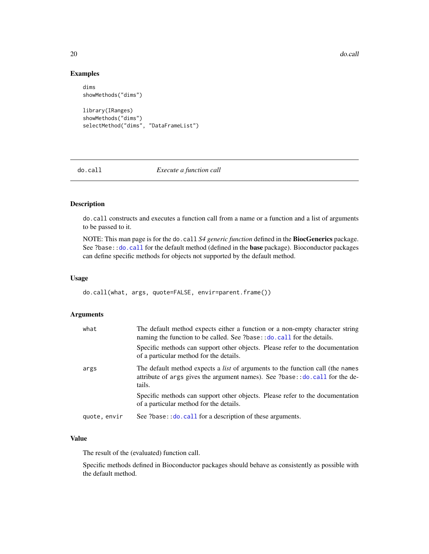20 do.call and the contract of the contract of the contract of the contract of the contract of the contract of the contract of the contract of the contract of the contract of the contract of the contract of the contract of

# Examples

```
dims
showMethods("dims")
library(IRanges)
showMethods("dims")
```
selectMethod("dims", "DataFrameList")

<span id="page-19-1"></span>

do.call *Execute a function call*

# Description

do.call constructs and executes a function call from a name or a function and a list of arguments to be passed to it.

NOTE: This man page is for the do.call *S4 generic function* defined in the BiocGenerics package. See ?base:[:do.call](#page-19-1) for the default method (defined in the base package). Bioconductor packages can define specific methods for objects not supported by the default method.

# Usage

do.call(what, args, quote=FALSE, envir=parent.frame())

# Arguments

| what         | The default method expects either a function or a non-empty character string<br>naming the function to be called. See ?base::do.call for the details.                          |
|--------------|--------------------------------------------------------------------------------------------------------------------------------------------------------------------------------|
|              | Specific methods can support other objects. Please refer to the documentation<br>of a particular method for the details.                                                       |
| args         | The default method expects a <i>list</i> of arguments to the function call (the names<br>attribute of args gives the argument names). See ?base::do.call for the de-<br>tails. |
|              | Specific methods can support other objects. Please refer to the documentation<br>of a particular method for the details.                                                       |
| quote, envir | See ?base:: do. call for a description of these arguments.                                                                                                                     |

# Value

The result of the (evaluated) function call.

Specific methods defined in Bioconductor packages should behave as consistently as possible with the default method.

<span id="page-19-0"></span>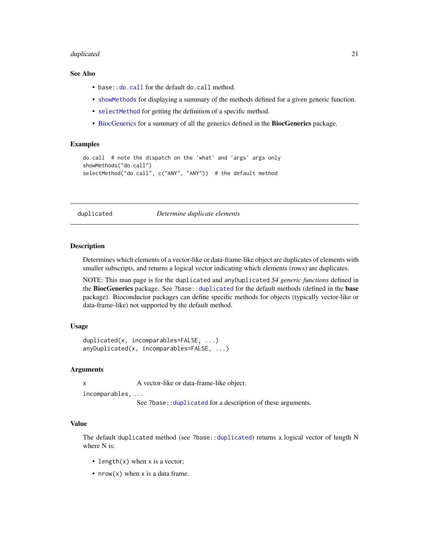#### <span id="page-20-0"></span>duplicated 21 and 22 and 22 and 22 and 22 and 22 and 22 and 23 and 23 and 23 and 23 and 23 and 24 and 25 and 25

# See Also

- base:: do.call for the default do.call method.
- [showMethods](#page-0-0) for displaying a summary of the methods defined for a given generic function.
- [selectMethod](#page-0-0) for getting the definition of a specific method.
- [BiocGenerics](#page-2-1) for a summary of all the generics defined in the BiocGenerics package.

# Examples

```
do.call # note the dispatch on the 'what' and 'args' args only
showMethods("do.call")
selectMethod("do.call", c("ANY", "ANY")) # the default method
```
<span id="page-20-1"></span>duplicated *Determine duplicate elements*

# <span id="page-20-2"></span>**Description**

Determines which elements of a vector-like or data-frame-like object are duplicates of elements with smaller subscripts, and returns a logical vector indicating which elements (rows) are duplicates.

NOTE: This man page is for the duplicated and anyDuplicated *S4 generic functions* defined in the BiocGenerics package. See ?base:[:duplicated](#page-20-1) for the default methods (defined in the base package). Bioconductor packages can define specific methods for objects (typically vector-like or data-frame-like) not supported by the default method.

# Usage

```
duplicated(x, incomparables=FALSE, ...)
anyDuplicated(x, incomparables=FALSE, ...)
```
# Arguments

x A vector-like or data-frame-like object.

incomparables, ...

See ?base:: duplicated for a description of these arguments.

# Value

The default duplicated method (see ?base:[:duplicated](#page-20-1)) returns a logical vector of length N where N is:

- length $(x)$  when x is a vector;
- nrow(x) when x is a data frame.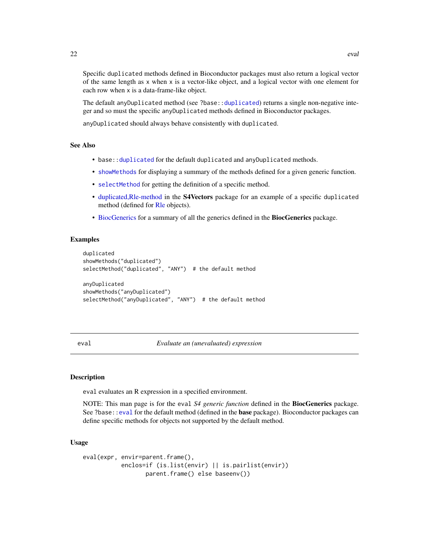<span id="page-21-0"></span>Specific duplicated methods defined in Bioconductor packages must also return a logical vector of the same length as x when x is a vector-like object, and a logical vector with one element for each row when x is a data-frame-like object.

The default anyDuplicated method (see ?base:[:duplicated](#page-20-1)) returns a single non-negative integer and so must the specific anyDuplicated methods defined in Bioconductor packages.

anyDuplicated should always behave consistently with duplicated.

# See Also

- base:[:duplicated](#page-20-1) for the default duplicated and anyDuplicated methods.
- [showMethods](#page-0-0) for displaying a summary of the methods defined for a given generic function.
- [selectMethod](#page-0-0) for getting the definition of a specific method.
- [duplicated,Rle-method](#page-0-0) in the S4Vectors package for an example of a specific duplicated method (defined for [Rle](#page-0-0) objects).
- [BiocGenerics](#page-2-1) for a summary of all the generics defined in the BiocGenerics package.

# Examples

```
duplicated
showMethods("duplicated")
selectMethod("duplicated", "ANY") # the default method
anyDuplicated
showMethods("anyDuplicated")
selectMethod("anyDuplicated", "ANY") # the default method
```
<span id="page-21-1"></span>eval *Evaluate an (unevaluated) expression*

# **Description**

eval evaluates an R expression in a specified environment.

NOTE: This man page is for the eval *S4 generic function* defined in the BiocGenerics package. See ?base:[:eval](#page-21-1) for the default method (defined in the **base** package). Bioconductor packages can define specific methods for objects not supported by the default method.

#### Usage

```
eval(expr, envir=parent.frame(),
          enclos=if (is.list(envir) || is.pairlist(envir))
                  parent.frame() else baseenv())
```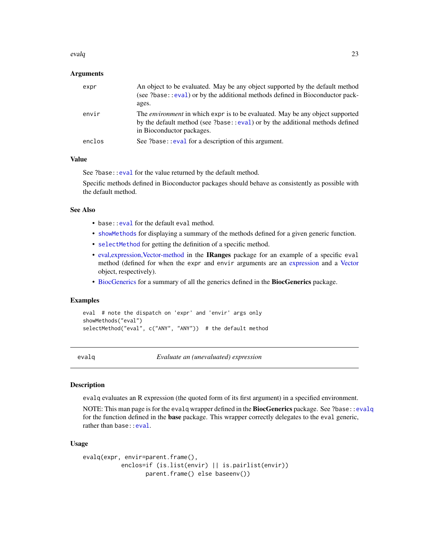#### <span id="page-22-0"></span>evalq and 23 and 23 and 23 and 23 and 23 and 23 and 23 and 23 and 23 and 23 and 23 and 23 and 23 and 23 and 23

# Arguments

| expr   | An object to be evaluated. May be any object supported by the default method<br>(see ?base: : eval) or by the additional methods defined in Bioconductor pack-<br>ages.                           |
|--------|---------------------------------------------------------------------------------------------------------------------------------------------------------------------------------------------------|
| envir  | The <i>environment</i> in which expr is to be evaluated. May be any object supported<br>by the default method (see ?base::eval) or by the additional methods defined<br>in Bioconductor packages. |
| enclos | See ?base: : eval for a description of this argument.                                                                                                                                             |
|        |                                                                                                                                                                                                   |

# Value

See ?base:[:eval](#page-21-1) for the value returned by the default method.

Specific methods defined in Bioconductor packages should behave as consistently as possible with the default method.

# See Also

- base: : eval for the default eval method.
- [showMethods](#page-0-0) for displaying a summary of the methods defined for a given generic function.
- [selectMethod](#page-0-0) for getting the definition of a specific method.
- [eval,expression,Vector-method](#page-0-0) in the IRanges package for an example of a specific eval method (defined for when the expr and envir arguments are an [expression](#page-0-0) and a [Vector](#page-0-0) object, respectively).
- [BiocGenerics](#page-2-1) for a summary of all the generics defined in the BiocGenerics package.

# Examples

```
eval # note the dispatch on 'expr' and 'envir' args only
showMethods("eval")
selectMethod("eval", c("ANY", "ANY")) # the default method
```
<span id="page-22-1"></span>evalq *Evaluate an (unevaluated) expression*

# Description

evalq evaluates an R expression (the quoted form of its first argument) in a specified environment.

NOTE: This man page is for the evalq wrapper defined in the BiocGenerics package. See ?base:[:evalq](#page-22-1) for the function defined in the **base** package. This wrapper correctly delegates to the eval generic, rather than base: : eval.

# Usage

```
evalq(expr, envir=parent.frame(),
          enclos=if (is.list(envir) || is.pairlist(envir))
                  parent.frame() else baseenv())
```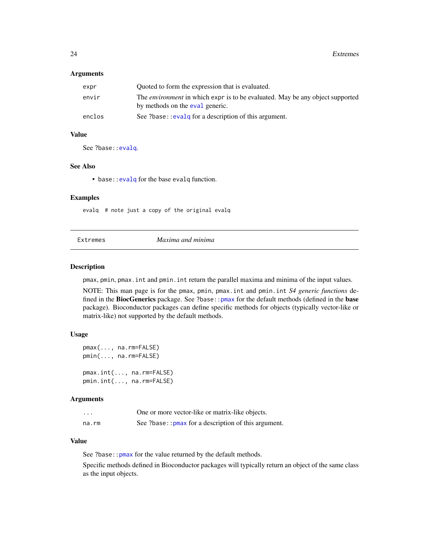# <span id="page-23-0"></span>Arguments

| expr   | Quoted to form the expression that is evaluated.                                                                        |
|--------|-------------------------------------------------------------------------------------------------------------------------|
| envir  | The <i>environment</i> in which expr is to be evaluated. May be any object supported<br>by methods on the eval generic. |
| enclos | See ?base:: evalg for a description of this argument.                                                                   |

# Value

See ?base:: evalq.

# See Also

• base: : evalq for the base evalq function.

#### Examples

evalq # note just a copy of the original evalq

|  | Extremes |
|--|----------|
|--|----------|

Extremes *Maxima and minima*

#### <span id="page-23-1"></span>Description

pmax, pmin, pmax.int and pmin.int return the parallel maxima and minima of the input values.

NOTE: This man page is for the pmax, pmin, pmax.int and pmin.int *S4 generic functions* defined in the BiocGenerics package. See ?base:: pmax for the default methods (defined in the base package). Bioconductor packages can define specific methods for objects (typically vector-like or matrix-like) not supported by the default methods.

#### Usage

```
pmax(..., na.rm=FALSE)
pmin(..., na.rm=FALSE)
pmax.int(..., na.rm=FALSE)
pmin.int(..., na.rm=FALSE)
```
# Arguments

| .     | One or more vector-like or matrix-like objects.        |
|-------|--------------------------------------------------------|
| na.rm | See ?base:: $pmax$ for a description of this argument. |

# Value

See ?base:: pmax for the value returned by the default methods.

Specific methods defined in Bioconductor packages will typically return an object of the same class as the input objects.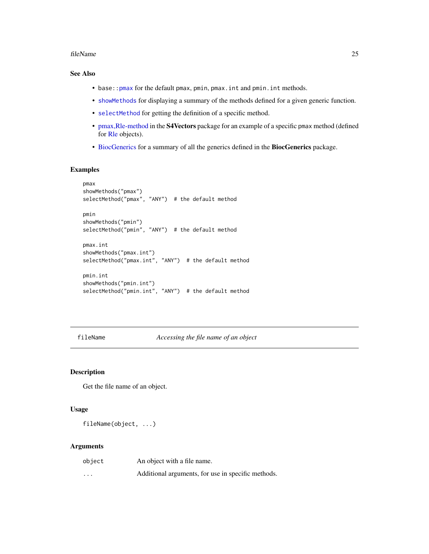#### <span id="page-24-0"></span>fileName 25

# See Also

- base:: pmax for the default pmax, pmin, pmax. int and pmin. int methods.
- [showMethods](#page-0-0) for displaying a summary of the methods defined for a given generic function.
- [selectMethod](#page-0-0) for getting the definition of a specific method.
- [pmax,Rle-method](#page-0-0) in the S4Vectors package for an example of a specific pmax method (defined for [Rle](#page-0-0) objects).
- [BiocGenerics](#page-2-1) for a summary of all the generics defined in the BiocGenerics package.

# Examples

```
pmax
showMethods("pmax")
selectMethod("pmax", "ANY") # the default method
pmin
showMethods("pmin")
selectMethod("pmin", "ANY") # the default method
pmax.int
showMethods("pmax.int")
selectMethod("pmax.int", "ANY") # the default method
pmin.int
showMethods("pmin.int")
selectMethod("pmin.int", "ANY") # the default method
```
<span id="page-24-1"></span>fileName *Accessing the file name of an object*

# Description

Get the file name of an object.

#### Usage

fileName(object, ...)

#### Arguments

| object  | An object with a file name.                        |
|---------|----------------------------------------------------|
| $\cdot$ | Additional arguments, for use in specific methods. |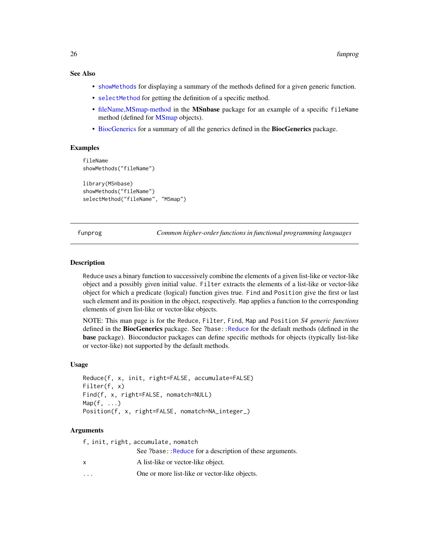# <span id="page-25-0"></span>See Also

- [showMethods](#page-0-0) for displaying a summary of the methods defined for a given generic function.
- [selectMethod](#page-0-0) for getting the definition of a specific method.
- [fileName,MSmap-method](#page-0-0) in the MSnbase package for an example of a specific fileName method (defined for [MSmap](#page-0-0) objects).
- [BiocGenerics](#page-2-1) for a summary of all the generics defined in the BiocGenerics package.

# Examples

```
fileName
showMethods("fileName")
library(MSnbase)
showMethods("fileName")
selectMethod("fileName", "MSmap")
```
funprog *Common higher-order functions in functional programming languages*

#### <span id="page-25-1"></span>**Description**

Reduce uses a binary function to successively combine the elements of a given list-like or vector-like object and a possibly given initial value. Filter extracts the elements of a list-like or vector-like object for which a predicate (logical) function gives true. Find and Position give the first or last such element and its position in the object, respectively. Map applies a function to the corresponding elements of given list-like or vector-like objects.

NOTE: This man page is for the Reduce, Filter, Find, Map and Position *S4 generic functions* defined in the **BiocGenerics** package. See ?base: Reduce for the default methods (defined in the base package). Bioconductor packages can define specific methods for objects (typically list-like or vector-like) not supported by the default methods.

# Usage

```
Reduce(f, x, init, right=FALSE, accumulate=FALSE)
Filter(f, x)
Find(f, x, right=FALSE, nomatch=NULL)
Map(f, \ldots)Position(f, x, right=FALSE, nomatch=NA_integer_)
```
# Arguments

|              | f, init, right, accumulate, nomatch                     |
|--------------|---------------------------------------------------------|
|              | See ?base::Reduce for a description of these arguments. |
| $\mathsf{x}$ | A list-like or vector-like object.                      |
|              | One or more list-like or vector-like objects.           |
|              |                                                         |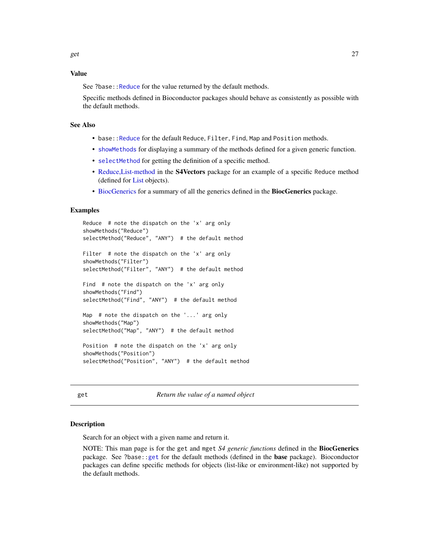# <span id="page-26-0"></span>Value

See ?base:[:Reduce](#page-25-1) for the value returned by the default methods.

Specific methods defined in Bioconductor packages should behave as consistently as possible with the default methods.

# See Also

- base:[:Reduce](#page-25-1) for the default Reduce, Filter, Find, Map and Position methods.
- [showMethods](#page-0-0) for displaying a summary of the methods defined for a given generic function.
- [selectMethod](#page-0-0) for getting the definition of a specific method.
- [Reduce,List-method](#page-0-0) in the S4Vectors package for an example of a specific Reduce method (defined for [List](#page-0-0) objects).
- [BiocGenerics](#page-2-1) for a summary of all the generics defined in the BiocGenerics package.

#### Examples

```
Reduce # note the dispatch on the 'x' arg only
showMethods("Reduce")
selectMethod("Reduce", "ANY") # the default method
Filter # note the dispatch on the 'x' arg only
showMethods("Filter")
selectMethod("Filter", "ANY") # the default method
Find # note the dispatch on the 'x' arg only
showMethods("Find")
selectMethod("Find", "ANY") # the default method
Map # note the dispatch on the '...' arg only
showMethods("Map")
selectMethod("Map", "ANY") # the default method
Position # note the dispatch on the 'x' arg only
showMethods("Position")
selectMethod("Position", "ANY") # the default method
```
<span id="page-26-1"></span>get *Return the value of a named object*

#### <span id="page-26-2"></span>**Description**

Search for an object with a given name and return it.

NOTE: This man page is for the get and mget *S4 generic functions* defined in the BiocGenerics package. See ?base:[:get](#page-26-1) for the default methods (defined in the base package). Bioconductor packages can define specific methods for objects (list-like or environment-like) not supported by the default methods.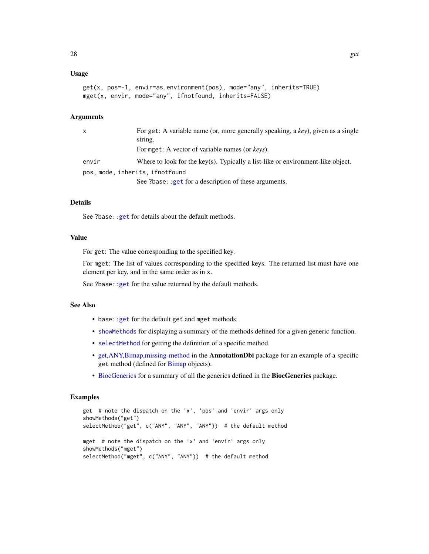# Usage

```
get(x, pos=-1, envir=as.environment(pos), mode="any", inherits=TRUE)
mget(x, envir, mode="any", ifnotfound, inherits=FALSE)
```
#### **Arguments**

| $\mathsf{x}$                    | For get: A variable name (or, more generally speaking, a key), given as a single<br>string. |
|---------------------------------|---------------------------------------------------------------------------------------------|
|                                 | For mget: A vector of variable names (or keys).                                             |
| envir                           | Where to look for the key(s). Typically a list-like or environment-like object.             |
| pos, mode, inherits, ifnotfound |                                                                                             |
|                                 | See ?base:: get for a description of these arguments.                                       |

# Details

See ?base:: get for details about the default methods.

# Value

For get: The value corresponding to the specified key.

For mget: The list of values corresponding to the specified keys. The returned list must have one element per key, and in the same order as in x.

See ?base:: get for the value returned by the default methods.

# See Also

- base:[:get](#page-26-1) for the default get and mget methods.
- [showMethods](#page-0-0) for displaying a summary of the methods defined for a given generic function.
- [selectMethod](#page-0-0) for getting the definition of a specific method.
- [get,ANY,Bimap,missing-method](#page-0-0) in the AnnotationDbi package for an example of a specific get method (defined for [Bimap](#page-0-0) objects).
- [BiocGenerics](#page-2-1) for a summary of all the generics defined in the BiocGenerics package.

```
get # note the dispatch on the 'x', 'pos' and 'envir' args only
showMethods("get")
selectMethod("get", c("ANY", "ANY", "ANY")) # the default method
mget # note the dispatch on the 'x' and 'envir' args only
showMethods("mget")
selectMethod("mget", c("ANY", "ANY")) # the default method
```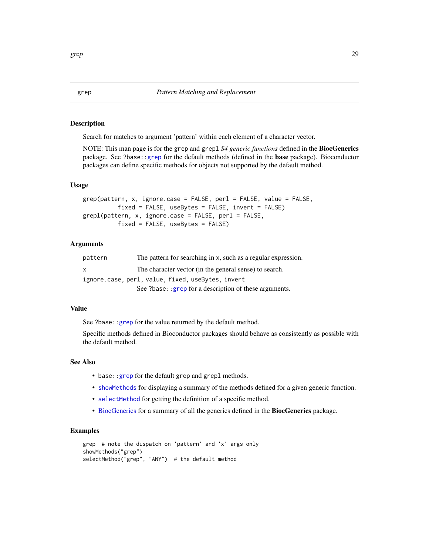<span id="page-28-2"></span><span id="page-28-1"></span><span id="page-28-0"></span>Search for matches to argument 'pattern' within each element of a character vector.

NOTE: This man page is for the grep and grepl *S4 generic functions* defined in the BiocGenerics package. See ?base:[:grep](#page-28-1) for the default methods (defined in the base package). Bioconductor packages can define specific methods for objects not supported by the default method.

# Usage

```
grep(pattern, x, ignore.case = FALSE, perl = FALSE, value = FALSE,
          fixed = FALSE, useBytes = FALSE, invert = FALSE)
grepl(pattern, x, ignore.case = FALSE, perl = FALSE,
          fixed = FALSE, useBytes = FALSE)
```
# **Arguments**

| pattern | The pattern for searching in x, such as a regular expression. |
|---------|---------------------------------------------------------------|
| X       | The character vector (in the general sense) to search.        |
|         | ignore.case, perl, value, fixed, useBytes, invert             |
|         | See ?base: : grep for a description of these arguments.       |

#### Value

See ?base:[:grep](#page-28-1) for the value returned by the default method.

Specific methods defined in Bioconductor packages should behave as consistently as possible with the default method.

# See Also

- base:[:grep](#page-28-1) for the default grep and grepl methods.
- [showMethods](#page-0-0) for displaying a summary of the methods defined for a given generic function.
- [selectMethod](#page-0-0) for getting the definition of a specific method.
- [BiocGenerics](#page-2-1) for a summary of all the generics defined in the BiocGenerics package.

```
grep # note the dispatch on 'pattern' and 'x' args only
showMethods("grep")
selectMethod("grep", "ANY") # the default method
```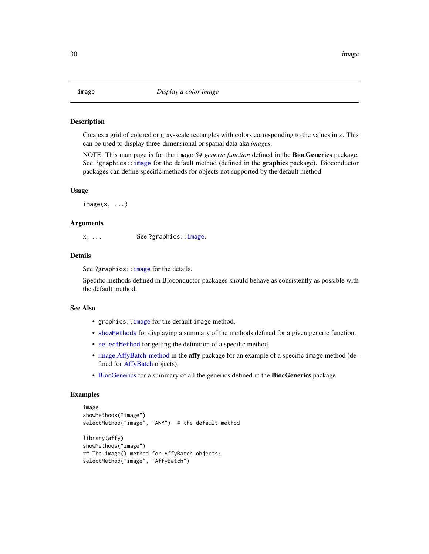<span id="page-29-1"></span><span id="page-29-0"></span>Creates a grid of colored or gray-scale rectangles with colors corresponding to the values in z. This can be used to display three-dimensional or spatial data aka *images*.

NOTE: This man page is for the image *S4 generic function* defined in the BiocGenerics package. See ?graphics:[:image](#page-29-1) for the default method (defined in the graphics package). Bioconductor packages can define specific methods for objects not supported by the default method.

#### Usage

 $image(x, \ldots)$ 

# Arguments

x, ... See ?graphics:[:image](#page-29-1).

# Details

See ?graphics:: image for the details.

Specific methods defined in Bioconductor packages should behave as consistently as possible with the default method.

# See Also

- graphics:[:image](#page-29-1) for the default image method.
- [showMethods](#page-0-0) for displaying a summary of the methods defined for a given generic function.
- [selectMethod](#page-0-0) for getting the definition of a specific method.
- [image,AffyBatch-method](#page-0-0) in the affy package for an example of a specific image method (defined for [AffyBatch](#page-0-0) objects).
- [BiocGenerics](#page-2-1) for a summary of all the generics defined in the BiocGenerics package.

```
image
showMethods("image")
selectMethod("image", "ANY") # the default method
library(affy)
showMethods("image")
## The image() method for AffyBatch objects:
selectMethod("image", "AffyBatch")
```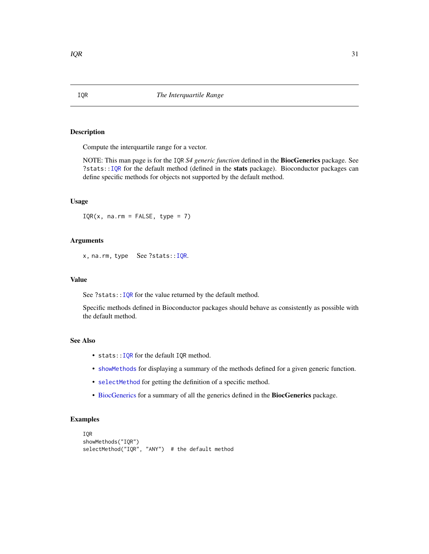Compute the interquartile range for a vector.

NOTE: This man page is for the IQR *S4 generic function* defined in the BiocGenerics package. See ?stats:: IQR for the default method (defined in the stats package). Bioconductor packages can define specific methods for objects not supported by the default method.

#### Usage

 $IQR(x, na.rm = FALSE, type = 7)$ 

# Arguments

x, na.rm, type See ?stats:[:IQR](#page-30-1).

# Value

See ?stats:: IQR for the value returned by the default method.

Specific methods defined in Bioconductor packages should behave as consistently as possible with the default method.

# See Also

- stats:: IQR for the default IQR method.
- [showMethods](#page-0-0) for displaying a summary of the methods defined for a given generic function.
- [selectMethod](#page-0-0) for getting the definition of a specific method.
- [BiocGenerics](#page-2-1) for a summary of all the generics defined in the BiocGenerics package.

```
IQR
showMethods("IQR")
selectMethod("IQR", "ANY") # the default method
```
<span id="page-30-1"></span><span id="page-30-0"></span>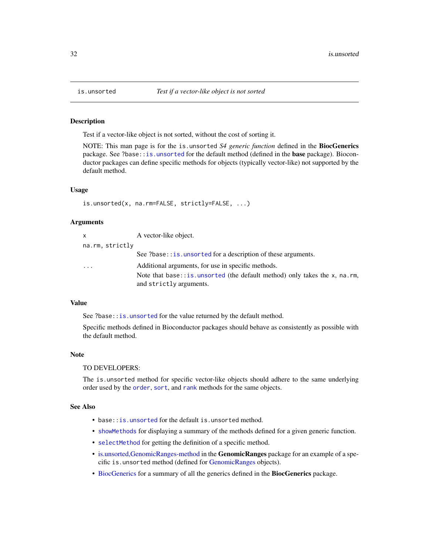Test if a vector-like object is not sorted, without the cost of sorting it.

NOTE: This man page is for the is.unsorted *S4 generic function* defined in the BiocGenerics package. See ?base:[:is.unsorted](#page-31-1) for the default method (defined in the **base** package). Bioconductor packages can define specific methods for objects (typically vector-like) not supported by the default method.

#### Usage

```
is.unsorted(x, na.rm=FALSE, strictly=FALSE, ...)
```
# Arguments

| $\times$        | A vector-like object.                                                                                 |
|-----------------|-------------------------------------------------------------------------------------------------------|
| na.rm, strictly |                                                                                                       |
|                 | See ?base:: is. unsorted for a description of these arguments.                                        |
| $\cdot$         | Additional arguments, for use in specific methods.                                                    |
|                 | Note that base:: is unsorted (the default method) only takes the x, na.rm,<br>and strictly arguments. |

# Value

See ?base:: is.unsorted for the value returned by the default method.

Specific methods defined in Bioconductor packages should behave as consistently as possible with the default method.

# Note

#### TO DEVELOPERS:

The is.unsorted method for specific vector-like objects should adhere to the same underlying order used by the [order](#page-40-1), [sort](#page-57-1), and [rank](#page-48-1) methods for the same objects.

# See Also

- base:[:is.unsorted](#page-31-1) for the default is.unsorted method.
- [showMethods](#page-0-0) for displaying a summary of the methods defined for a given generic function.
- [selectMethod](#page-0-0) for getting the definition of a specific method.
- [is.unsorted,GenomicRanges-method](#page-0-0) in the GenomicRanges package for an example of a specific is.unsorted method (defined for [GenomicRanges](#page-0-0) objects).
- [BiocGenerics](#page-2-1) for a summary of all the generics defined in the BiocGenerics package.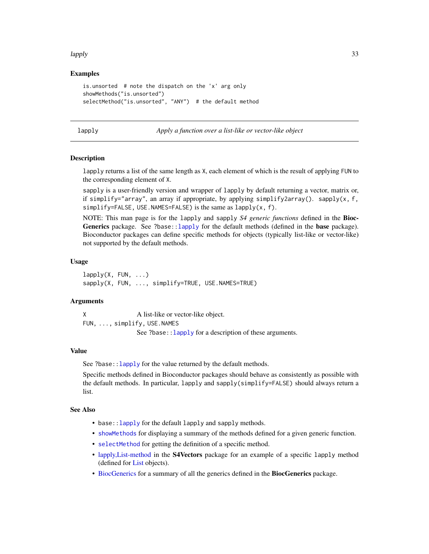#### <span id="page-32-0"></span>lapply 33

# Examples

```
is.unsorted # note the dispatch on the 'x' arg only
showMethods("is.unsorted")
selectMethod("is.unsorted", "ANY") # the default method
```
<span id="page-32-1"></span>lapply *Apply a function over a list-like or vector-like object*

# <span id="page-32-2"></span>Description

lapply returns a list of the same length as X, each element of which is the result of applying FUN to the corresponding element of X.

sapply is a user-friendly version and wrapper of lapply by default returning a vector, matrix or, if simplify="array", an array if appropriate, by applying simplify2array(). sapply(x, f, simplify=FALSE, USE.NAMES=FALSE) is the same as lapply(x, f).

NOTE: This man page is for the lapply and sapply *S4 generic functions* defined in the Bioc-Generics package. See ?base:[:lapply](#page-32-1) for the default methods (defined in the base package). Bioconductor packages can define specific methods for objects (typically list-like or vector-like) not supported by the default methods.

#### Usage

 $l$ apply(X, FUN,  $\ldots$ ) sapply(X, FUN, ..., simplify=TRUE, USE.NAMES=TRUE)

# Arguments

X A list-like or vector-like object. FUN, ..., simplify, USE.NAMES See ?base::Lapply for a description of these arguments.

#### Value

See ?base:: lapply for the value returned by the default methods.

Specific methods defined in Bioconductor packages should behave as consistently as possible with the default methods. In particular, lapply and sapply(simplify=FALSE) should always return a list.

#### See Also

- base:[:lapply](#page-32-1) for the default lapply and sapply methods.
- [showMethods](#page-0-0) for displaying a summary of the methods defined for a given generic function.
- [selectMethod](#page-0-0) for getting the definition of a specific method.
- [lapply,List-method](#page-0-0) in the S4Vectors package for an example of a specific lapply method (defined for [List](#page-0-0) objects).
- [BiocGenerics](#page-2-1) for a summary of all the generics defined in the BiocGenerics package.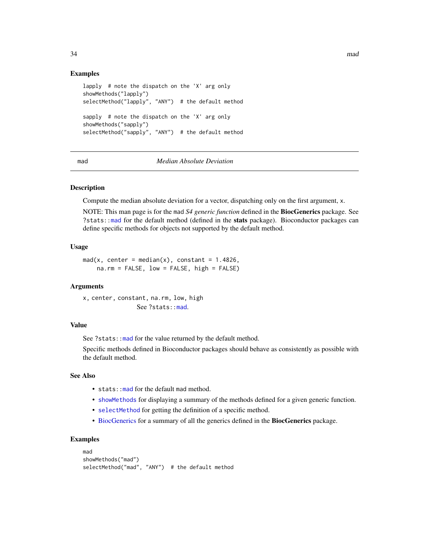# Examples

```
lapply # note the dispatch on the 'X' arg only
showMethods("lapply")
selectMethod("lapply", "ANY") # the default method
sapply # note the dispatch on the 'X' arg only
showMethods("sapply")
selectMethod("sapply", "ANY") # the default method
```
# <span id="page-33-1"></span>mad *Median Absolute Deviation*

#### Description

Compute the median absolute deviation for a vector, dispatching only on the first argument, x.

NOTE: This man page is for the mad *S4 generic function* defined in the BiocGenerics package. See ?stats:[:mad](#page-33-1) for the default method (defined in the stats package). Bioconductor packages can define specific methods for objects not supported by the default method.

# Usage

```
mad(x, center = median(x), constant = 1.4826,na.rm = FALSE, low = FALSE, high = FALSE)
```
#### Arguments

x, center, constant, na.rm, [low,](#page-33-1) high See ?stats::mad.

#### Value

See ?stats:[:mad](#page-33-1) for the value returned by the default method.

Specific methods defined in Bioconductor packages should behave as consistently as possible with the default method.

# See Also

- stats: : mad for the default mad method.
- [showMethods](#page-0-0) for displaying a summary of the methods defined for a given generic function.
- [selectMethod](#page-0-0) for getting the definition of a specific method.
- [BiocGenerics](#page-2-1) for a summary of all the generics defined in the BiocGenerics package.

```
mad
showMethods("mad")
selectMethod("mad", "ANY") # the default method
```
<span id="page-33-0"></span>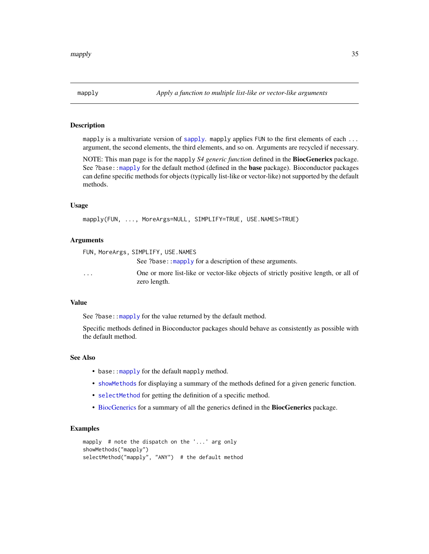<span id="page-34-1"></span><span id="page-34-0"></span>

mapply is a multivariate version of [sapply](#page-32-2). mapply applies FUN to the first elements of each ... argument, the second elements, the third elements, and so on. Arguments are recycled if necessary.

NOTE: This man page is for the mapply *S4 generic function* defined in the BiocGenerics package. See ?base:[:mapply](#page-34-1) for the default method (defined in the **base** package). Bioconductor packages can define specific methods for objects (typically list-like or vector-like) not supported by the default methods.

#### Usage

```
mapply(FUN, ..., MoreArgs=NULL, SIMPLIFY=TRUE, USE.NAMES=TRUE)
```
#### Arguments

FUN, MoreArgs, SIMPLIFY, US[E.NAMES](#page-34-1) See ?base::mapply for a description of these arguments. ... One or more list-like or vector-like objects of strictly positive length, or all of zero length.

# Value

See ?base:: mapply for the value returned by the default method.

Specific methods defined in Bioconductor packages should behave as consistently as possible with the default method.

# See Also

- base:: mapply for the default mapply method.
- [showMethods](#page-0-0) for displaying a summary of the methods defined for a given generic function.
- [selectMethod](#page-0-0) for getting the definition of a specific method.
- [BiocGenerics](#page-2-1) for a summary of all the generics defined in the BiocGenerics package.

```
mapply # note the dispatch on the '...' arg only
showMethods("mapply")
selectMethod("mapply", "ANY") # the default method
```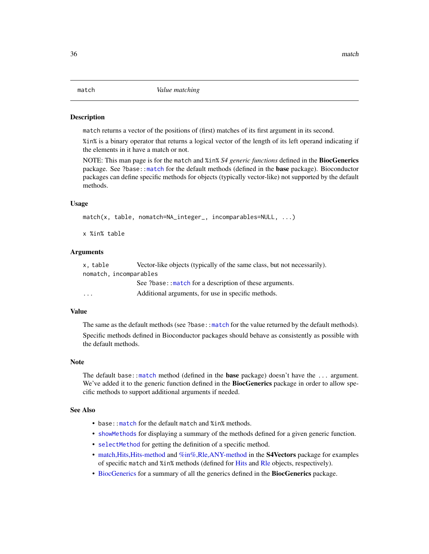<span id="page-35-2"></span><span id="page-35-1"></span><span id="page-35-0"></span>match returns a vector of the positions of (first) matches of its first argument in its second.

%in% is a binary operator that returns a logical vector of the length of its left operand indicating if the elements in it have a match or not.

NOTE: This man page is for the match and %in% *S4 generic functions* defined in the BiocGenerics package. See ?base:[:match](#page-35-1) for the default methods (defined in the base package). Bioconductor packages can define specific methods for objects (typically vector-like) not supported by the default methods.

# Usage

```
match(x, table, nomatch=NA_integer_, incomparables=NULL, ...)
```
x %in% table

# Arguments

| x. table                | Vector-like objects (typically of the same class, but not necessarily). |
|-------------------------|-------------------------------------------------------------------------|
| nomatch, incomparables  |                                                                         |
|                         | See ?base:: match for a description of these arguments.                 |
| $\cdot$ $\cdot$ $\cdot$ | Additional arguments, for use in specific methods.                      |

# Value

The same as the default methods (see ?base:[:match](#page-35-1) for the value returned by the default methods).

Specific methods defined in Bioconductor packages should behave as consistently as possible with the default methods.

### Note

The default base:[:match](#page-35-1) method (defined in the **base** package) doesn't have the ... argument. We've added it to the generic function defined in the **BiocGenerics** package in order to allow specific methods to support additional arguments if needed.

# See Also

- base:: match for the default match and %in% methods.
- [showMethods](#page-0-0) for displaying a summary of the methods defined for a given generic function.
- [selectMethod](#page-0-0) for getting the definition of a specific method.
- match, Hits, Hits-method and %in%, Rle, ANY-method in the **S4Vectors** package for examples of specific match and %in% methods (defined for [Hits](#page-0-0) and [Rle](#page-0-0) objects, respectively).
- [BiocGenerics](#page-2-1) for a summary of all the generics defined in the BiocGenerics package.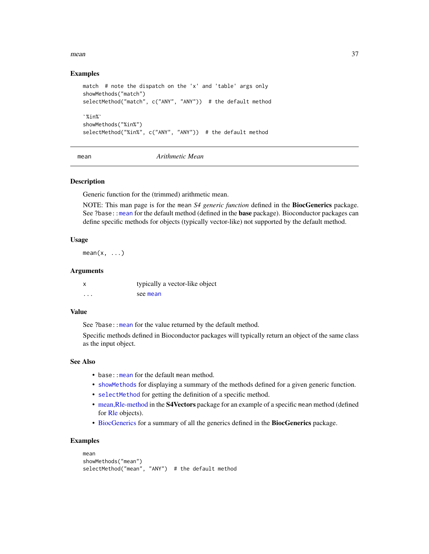#### $m$ ean  $37$

# Examples

```
match # note the dispatch on the 'x' and 'table' args only
showMethods("match")
`selectMethod("match", c("ANY", "ANY")) # the default method
 howMe<br>elect<br>%in%`
showMethods("%in%")
selectMethod("%in%", c("ANY", "ANY")) # the default method
```
<span id="page-36-0"></span>mean *Arithmetic Mean*

# **Description**

Generic function for the (trimmed) arithmetic mean.

NOTE: This man page is for the mean *S4 generic function* defined in the BiocGenerics package. See ?base:[:mean](#page-36-0) for the default method (defined in the **base** package). Bioconductor packages can define specific methods for objects (typically vector-like) not supported by the default method.

## Usage

 $mean(x, \ldots)$ 

## Arguments

|          | typically a vector-like object |
|----------|--------------------------------|
| $\cdots$ | see mean                       |

## Value

See ?base:: mean for the value returned by the default method.

Specific methods defined in Bioconductor packages will typically return an object of the same class as the input object.

## See Also

- base:: mean for the default mean method.
- [showMethods](#page-0-0) for displaying a summary of the methods defined for a given generic function.
- [selectMethod](#page-0-0) for getting the definition of a specific method.
- [mean,Rle-method](#page-0-0) in the S4Vectors package for an example of a specific mean method (defined for [Rle](#page-0-0) objects).
- [BiocGenerics](#page-2-0) for a summary of all the generics defined in the BiocGenerics package.

```
mean
showMethods("mean")
selectMethod("mean", "ANY") # the default method
```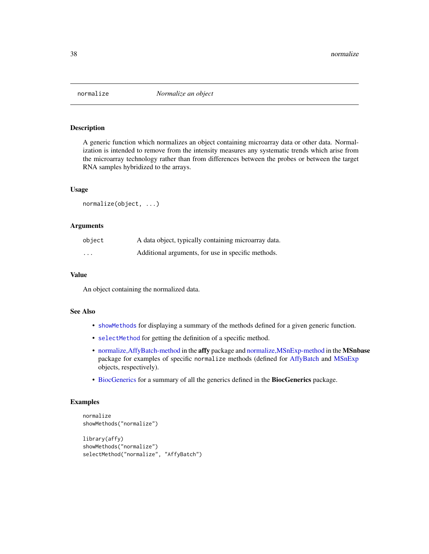A generic function which normalizes an object containing microarray data or other data. Normalization is intended to remove from the intensity measures any systematic trends which arise from the microarray technology rather than from differences between the probes or between the target RNA samples hybridized to the arrays.

## Usage

```
normalize(object, ...)
```
## Arguments

| object   | A data object, typically containing microarray data. |
|----------|------------------------------------------------------|
| $\cdots$ | Additional arguments, for use in specific methods.   |

#### Value

An object containing the normalized data.

## See Also

- [showMethods](#page-0-0) for displaying a summary of the methods defined for a given generic function.
- [selectMethod](#page-0-0) for getting the definition of a specific method.
- [normalize,AffyBatch-method](#page-0-0) in the affy package and [normalize,MSnExp-method](#page-0-0) in the MSnbase package for examples of specific normalize methods (defined for [AffyBatch](#page-0-0) and [MSnExp](#page-0-0) objects, respectively).
- [BiocGenerics](#page-2-0) for a summary of all the generics defined in the BiocGenerics package.

```
normalize
showMethods("normalize")
library(affy)
showMethods("normalize")
```

```
selectMethod("normalize", "AffyBatch")
```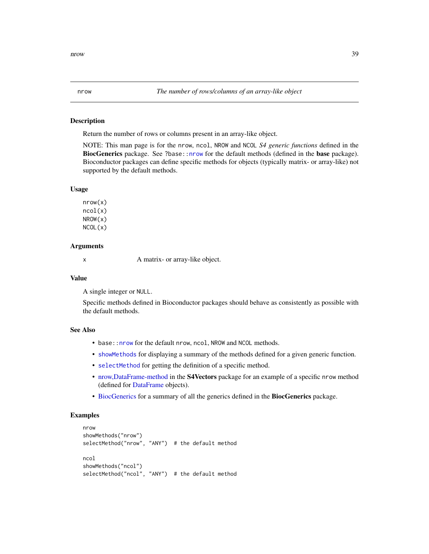<span id="page-38-1"></span><span id="page-38-0"></span>Return the number of rows or columns present in an array-like object.

NOTE: This man page is for the nrow, ncol, NROW and NCOL *S4 generic functions* defined in the BiocGenerics package. See ?base:[:nrow](#page-38-0) for the default methods (defined in the base package). Bioconductor packages can define specific methods for objects (typically matrix- or array-like) not supported by the default methods.

## Usage

nrow(x) ncol(x) NROW(x) NCOL(x)

# Arguments

x A matrix- or array-like object.

#### Value

A single integer or NULL.

Specific methods defined in Bioconductor packages should behave as consistently as possible with the default methods.

# See Also

- base:: nrow for the default nrow, ncol, NROW and NCOL methods.
- [showMethods](#page-0-0) for displaying a summary of the methods defined for a given generic function.
- [selectMethod](#page-0-0) for getting the definition of a specific method.
- [nrow,DataFrame-method](#page-0-0) in the **S4Vectors** package for an example of a specific nrow method (defined for [DataFrame](#page-0-0) objects).
- [BiocGenerics](#page-2-0) for a summary of all the generics defined in the BiocGenerics package.

```
nrow
showMethods("nrow")
selectMethod("nrow", "ANY") # the default method
ncol
showMethods("ncol")
selectMethod("ncol", "ANY") # the default method
```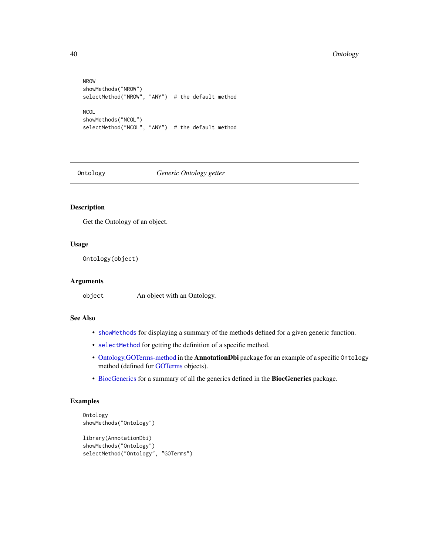```
NROW
showMethods("NROW")
selectMethod("NROW", "ANY") # the default method
NCOL
showMethods("NCOL")
selectMethod("NCOL", "ANY") # the default method
```
Ontology *Generic Ontology getter*

# Description

Get the Ontology of an object.

## Usage

Ontology(object)

# Arguments

object An object with an Ontology.

# See Also

- [showMethods](#page-0-0) for displaying a summary of the methods defined for a given generic function.
- [selectMethod](#page-0-0) for getting the definition of a specific method.
- [Ontology,GOTerms-method](#page-0-0) in the AnnotationDbi package for an example of a specific Ontology method (defined for [GOTerms](#page-0-0) objects).
- [BiocGenerics](#page-2-0) for a summary of all the generics defined in the BiocGenerics package.

```
Ontology
showMethods("Ontology")
library(AnnotationDbi)
showMethods("Ontology")
selectMethod("Ontology", "GOTerms")
```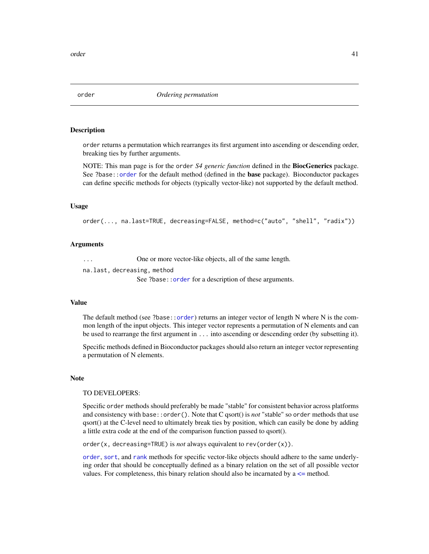<span id="page-40-0"></span>

order returns a permutation which rearranges its first argument into ascending or descending order, breaking ties by further arguments.

NOTE: This man page is for the order *S4 generic function* defined in the BiocGenerics package. See ?base:[:order](#page-40-0) for the default method (defined in the **base** package). Bioconductor packages can define specific methods for objects (typically vector-like) not supported by the default method.

#### Usage

order(..., na.last=TRUE, decreasing=FALSE, method=c("auto", "shell", "radix"))

#### Arguments

... One or more vector-like objects, all of the same length.

na.last, decreasing, method

See ?base:[:order](#page-40-0) for a description of these arguments.

#### Value

The default method (see ?base:[:order](#page-40-0)) returns an integer vector of length N where N is the common length of the input objects. This integer vector represents a permutation of N elements and can be used to rearrange the first argument in ... into ascending or descending order (by subsetting it).

Specific methods defined in Bioconductor packages should also return an integer vector representing a permutation of N elements.

#### **Note**

### TO DEVELOPERS:

Specific order methods should preferably be made "stable" for consistent behavior across platforms and consistency with base::order(). Note that C qsort() is *not* "stable" so order methods that use qsort() at the C-level need to ultimately break ties by position, which can easily be done by adding a little extra code at the end of the comparison function passed to qsort().

order(x, decreasing=TRUE) is *not* always equivalent to rev(order(x)).

[order](#page-40-0), [sort](#page-57-0), and [rank](#page-48-0) methods for specific vector-like objects should adhere to the same underlying order that should be conceptually defined as a binary relation on the set of all possible vector values. For completeness, this binary relation should also be incarnated by  $a \leq$  method.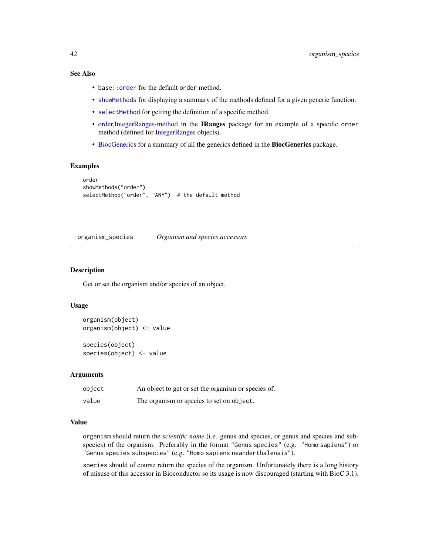# See Also

- base:: order for the default order method.
- [showMethods](#page-0-0) for displaying a summary of the methods defined for a given generic function.
- [selectMethod](#page-0-0) for getting the definition of a specific method.
- [order,IntegerRanges-method](#page-0-0) in the IRanges package for an example of a specific order method (defined for [IntegerRanges](#page-0-0) objects).
- [BiocGenerics](#page-2-0) for a summary of all the generics defined in the BiocGenerics package.

## Examples

```
order
showMethods("order")
selectMethod("order", "ANY") # the default method
```
organism\_species *Organism and species accessors*

# Description

Get or set the organism and/or species of an object.

#### Usage

```
organism(object)
organism(object) <- value
species(object)
```
species(object) <- value

#### Arguments

| object | An object to get or set the organism or species of. |
|--------|-----------------------------------------------------|
| value  | The organism or species to set on object.           |

#### Value

organism should return the *scientific name* (i.e. genus and species, or genus and species and subspecies) of the organism. Preferably in the format "Genus species" (e.g. "Homo sapiens") or "Genus species subspecies" (e.g. "Homo sapiens neanderthalensis").

species should of course return the species of the organism. Unfortunately there is a long history of misuse of this accessor in Bioconductor so its usage is now discouraged (starting with BioC 3.1).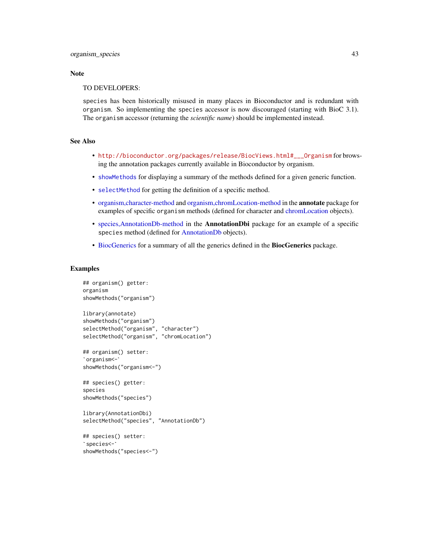## **Note**

## TO DEVELOPERS:

species has been historically misused in many places in Bioconductor and is redundant with organism. So implementing the species accessor is now discouraged (starting with BioC 3.1). The organism accessor (returning the *scientific name*) should be implemented instead.

## See Also

- [http://bioconductor.org/packages/release/BiocViews.html#\\_\\_\\_Organism](http://bioconductor.org/packages/release/BiocViews.html#___Organism) for browsing the annotation packages currently available in Bioconductor by organism.
- [showMethods](#page-0-0) for displaying a summary of the methods defined for a given generic function.
- [selectMethod](#page-0-0) for getting the definition of a specific method.
- [organism,character-method](#page-0-0) and [organism,chromLocation-method](#page-0-0) in the annotate package for examples of specific organism methods (defined for character and [chromLocation](#page-0-0) objects).
- [species,AnnotationDb-method](#page-0-0) in the AnnotationDbi package for an example of a specific species method (defined for [AnnotationDb](#page-0-0) objects).
- [BiocGenerics](#page-2-0) for a summary of all the generics defined in the BiocGenerics package.

```
## organism() getter:
organism
showMethods("organism")
library(annotate)
showMethods("organism")
selectMethod("organism", "character")
selectMethod("organism", "chromLocation")<br>## organism() setter:<br>`organism<-`
## organism() setter:
showMethods("organism<-")
## species() getter:
species
showMethods("species")
library(AnnotationDbi)
selectMethod("species", "AnnotationDb")<br>## species() setter:<br>`species<-`
## species() setter:
showMethods("species<-")
```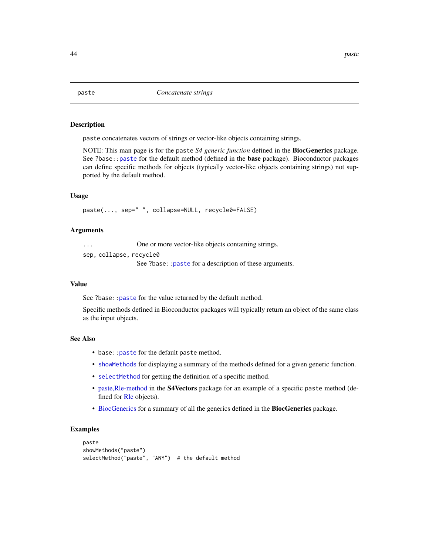<span id="page-43-0"></span>

paste concatenates vectors of strings or vector-like objects containing strings.

NOTE: This man page is for the paste *S4 generic function* defined in the BiocGenerics package. See ?base:[:paste](#page-43-0) for the default method (defined in the base package). Bioconductor packages can define specific methods for objects (typically vector-like objects containing strings) not supported by the default method.

# Usage

paste(..., sep=" ", collapse=NULL, recycle0=FALSE)

## Arguments

... One or more vector-like objects containing strings. sep, collapse, recycle0 See ?base:[:paste](#page-43-0) for a description of these arguments.

#### Value

See ?base:: paste for the value returned by the default method.

Specific methods defined in Bioconductor packages will typically return an object of the same class as the input objects.

## See Also

- base:: paste for the default paste method.
- [showMethods](#page-0-0) for displaying a summary of the methods defined for a given generic function.
- [selectMethod](#page-0-0) for getting the definition of a specific method.
- [paste,Rle-method](#page-0-0) in the S4Vectors package for an example of a specific paste method (defined for [Rle](#page-0-0) objects).
- [BiocGenerics](#page-2-0) for a summary of all the generics defined in the BiocGenerics package.

```
paste
showMethods("paste")
selectMethod("paste", "ANY") # the default method
```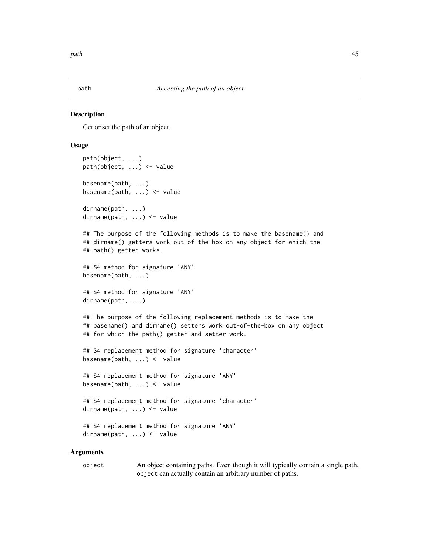<span id="page-44-0"></span>

Get or set the path of an object.

## Usage

```
path(object, ...)
path(object, ...) <- value
basename(path, ...)
basename(path, ...) <- value
dirname(path, ...)
dirname(path, ...) <- value
## The purpose of the following methods is to make the basename() and
## dirname() getters work out-of-the-box on any object for which the
## path() getter works.
## S4 method for signature 'ANY'
basename(path, ...)
## S4 method for signature 'ANY'
dirname(path, ...)
## The purpose of the following replacement methods is to make the
## basename() and dirname() setters work out-of-the-box on any object
## for which the path() getter and setter work.
## S4 replacement method for signature 'character'
basename(path, ...) <- value
## S4 replacement method for signature 'ANY'
basename(path, ...) <- value
## S4 replacement method for signature 'character'
dirname(path, ...) <- value
## S4 replacement method for signature 'ANY'
dirname(path, ...) <- value
```
#### Arguments

object An object containing paths. Even though it will typically contain a single path, object can actually contain an arbitrary number of paths.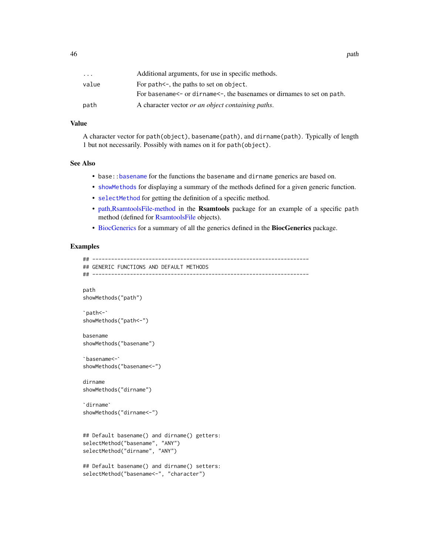| $\cdots$ | Additional arguments, for use in specific methods.                                |
|----------|-----------------------------------------------------------------------------------|
| value    | For $path < -$ , the paths to set on object.                                      |
|          | For basename $\leq$ or dirname $\leq$ , the basenames or dirnames to set on path. |
| path     | A character vector <i>or an object containing paths</i> .                         |

# Value

A character vector for path(object), basename(path), and dirname(path). Typically of length 1 but not necessarily. Possibly with names on it for path(object).

#### See Also

- base:[:basename](#page-44-0) for the functions the basename and dirname generics are based on.
- [showMethods](#page-0-0) for displaying a summary of the methods defined for a given generic function.
- [selectMethod](#page-0-0) for getting the definition of a specific method.
- [path,RsamtoolsFile-method](#page-0-0) in the Rsamtools package for an example of a specific path method (defined for [RsamtoolsFile](#page-0-0) objects).
- [BiocGenerics](#page-2-0) for a summary of all the generics defined in the BiocGenerics package.

```
## ---------------------------------------------------------------------
## GENERIC FUNCTIONS AND DEFAULT METHODS
## ---------------------------------------------------------------------
path
`showMethods("path")
 ath<br>howMeth<br>path<-`
showMethods("path<-")
basename
`showMethods("basename")
 asename<br>howMethods<mark>(</mark><br>basename<-`
showMethods("basename<-")
dirname
`showMethods("dirname")
 irname<br>howMetho<br>dirname`
showMethods("dirname<-")
## Default basename() and dirname() getters:
selectMethod("basename", "ANY")
selectMethod("dirname", "ANY")
## Default basename() and dirname() setters:
selectMethod("basename<-", "character")
```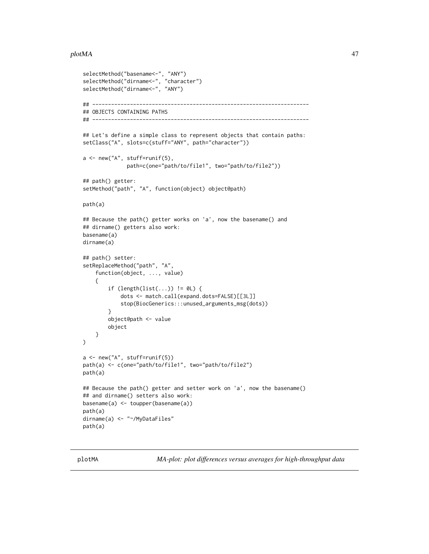#### plotMA and the contract of the contract of the contract of the contract of the contract of the contract of the contract of the contract of the contract of the contract of the contract of the contract of the contract of the

```
selectMethod("basename<-", "ANY")
selectMethod("dirname<-", "character")
selectMethod("dirname<-", "ANY")
## ---------------------------------------------------------------------
## OBJECTS CONTAINING PATHS
## ---------------------------------------------------------------------
## Let's define a simple class to represent objects that contain paths:
setClass("A", slots=c(stuff="ANY", path="character"))
a <- new("A", stuff=runif(5),
              path=c(one="path/to/file1", two="path/to/file2"))
## path() getter:
setMethod("path", "A", function(object) object@path)
path(a)
## Because the path() getter works on 'a', now the basename() and
## dirname() getters also work:
basename(a)
dirname(a)
## path() setter:
setReplaceMethod("path", "A",
    function(object, ..., value)
    {
        if (length(list(...)) != 0L) {
            dots <- match.call(expand.dots=FALSE)[[3L]]
            stop(BiocGenerics:::unused_arguments_msg(dots))
        }
        object@path <- value
        object
   }
)
a <- new("A", stuff=runif(5))
path(a) <- c(one="path/to/file1", two="path/to/file2")
path(a)
## Because the path() getter and setter work on 'a', now the basename()
## and dirname() setters also work:
basename(a) <- toupper(basename(a))
path(a)
dirname(a) <- "~/MyDataFiles"
path(a)
```
<span id="page-46-0"></span>plotMA *MA-plot: plot differences versus averages for high-throughput data*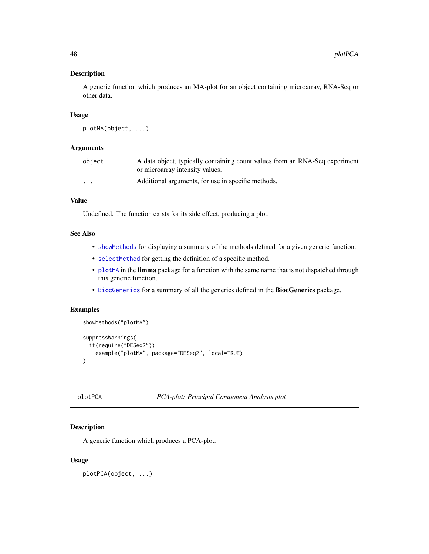A generic function which produces an MA-plot for an object containing microarray, RNA-Seq or other data.

# Usage

```
plotMA(object, ...)
```
# Arguments

| object   | A data object, typically containing count values from an RNA-Seq experiment |
|----------|-----------------------------------------------------------------------------|
|          | or microarray intensity values.                                             |
| $\cdots$ | Additional arguments, for use in specific methods.                          |

# Value

Undefined. The function exists for its side effect, producing a plot.

## See Also

- [showMethods](#page-0-0) for displaying a summary of the methods defined for a given generic function.
- [selectMethod](#page-0-0) for getting the definition of a specific method.
- [plotMA](#page-46-0) in the limma package for a function with the same name that is not dispatched through this generic function.
- [BiocGenerics](#page-2-0) for a summary of all the generics defined in the BiocGenerics package.

## Examples

```
showMethods("plotMA")
suppressWarnings(
 if(require("DESeq2"))
    example("plotMA", package="DESeq2", local=TRUE)
)
```

```
plotPCA PCA-plot: Principal Component Analysis plot
```
# Description

A generic function which produces a PCA-plot.

# Usage

plotPCA(object, ...)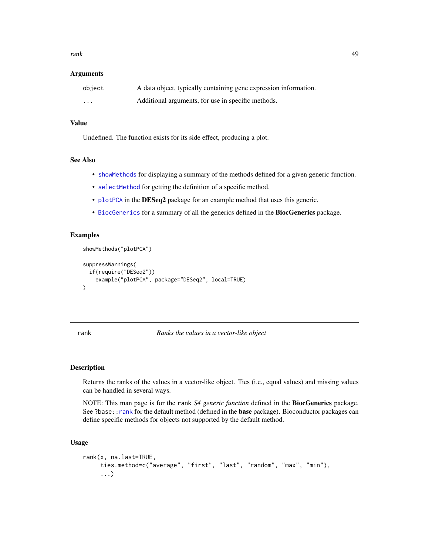rank 49

### Arguments

| object   | A data object, typically containing gene expression information. |
|----------|------------------------------------------------------------------|
| $\cdots$ | Additional arguments, for use in specific methods.               |

# Value

Undefined. The function exists for its side effect, producing a plot.

## See Also

- [showMethods](#page-0-0) for displaying a summary of the methods defined for a given generic function.
- [selectMethod](#page-0-0) for getting the definition of a specific method.
- [plotPCA](#page-47-0) in the DESeq2 package for an example method that uses this generic.
- [BiocGenerics](#page-2-0) for a summary of all the generics defined in the BiocGenerics package.

# Examples

showMethods("plotPCA")

```
suppressWarnings(
 if(require("DESeq2"))
   example("plotPCA", package="DESeq2", local=TRUE)
)
```
<span id="page-48-0"></span>rank *Ranks the values in a vector-like object*

### Description

Returns the ranks of the values in a vector-like object. Ties (i.e., equal values) and missing values can be handled in several ways.

NOTE: This man page is for the rank *S4 generic function* defined in the BiocGenerics package. See ?base:[:rank](#page-48-0) for the default method (defined in the **base** package). Bioconductor packages can define specific methods for objects not supported by the default method.

## Usage

```
rank(x, na.last=TRUE,
     ties.method=c("average", "first", "last", "random", "max", "min"),
     ...)
```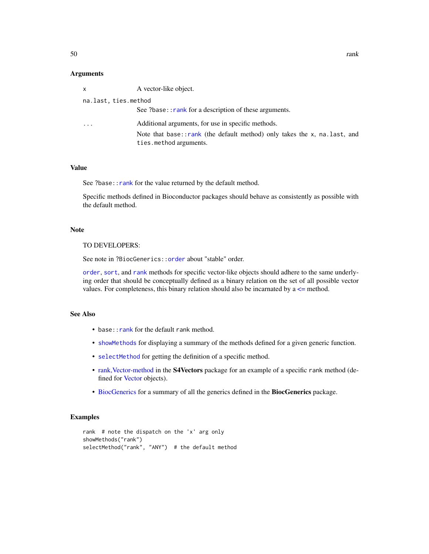### Arguments

| X         | A vector-like object.                                                                                  |  |  |
|-----------|--------------------------------------------------------------------------------------------------------|--|--|
|           | na.last, ties.method                                                                                   |  |  |
|           | See ?base:: rank for a description of these arguments.                                                 |  |  |
| $\ddotsc$ | Additional arguments, for use in specific methods.                                                     |  |  |
|           | Note that base::rank (the default method) only takes the $x$ , na. last, and<br>ties.method arguments. |  |  |

#### Value

See ?base:: rank for the value returned by the default method.

Specific methods defined in Bioconductor packages should behave as consistently as possible with the default method.

## Note

TO DEVELOPERS:

See note in ?BiocGenerics:: order about "stable" order.

[order](#page-40-0), [sort](#page-57-0), and [rank](#page-48-0) methods for specific vector-like objects should adhere to the same underlying order that should be conceptually defined as a binary relation on the set of all possible vector values. For completeness, this binary relation should also be incarnated by  $a \le$  method.

# See Also

- base:: rank for the default rank method.
- [showMethods](#page-0-0) for displaying a summary of the methods defined for a given generic function.
- [selectMethod](#page-0-0) for getting the definition of a specific method.
- [rank,Vector-method](#page-0-0) in the S4Vectors package for an example of a specific rank method (defined for [Vector](#page-0-0) objects).
- [BiocGenerics](#page-2-0) for a summary of all the generics defined in the BiocGenerics package.

```
rank # note the dispatch on the 'x' arg only
showMethods("rank")
selectMethod("rank", "ANY") # the default method
```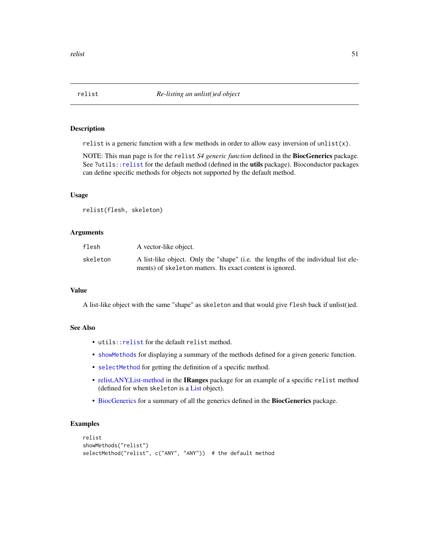<span id="page-50-0"></span>relist is a generic function with a few methods in order to allow easy inversion of unlist $(x)$ .

NOTE: This man page is for the relist *S4 generic function* defined in the BiocGenerics package. See ?utils:[:relist](#page-50-0) for the default method (defined in the utils package). Bioconductor packages can define specific methods for objects not supported by the default method.

## Usage

relist(flesh, skeleton)

## Arguments

| flesh    | A vector-like object.                                                              |
|----------|------------------------------------------------------------------------------------|
| skeleton | A list-like object. Only the "shape" (i.e. the lengths of the individual list ele- |
|          | ments) of skeleton matters. Its exact content is ignored.                          |

## Value

A list-like object with the same "shape" as skeleton and that would give flesh back if unlist()ed.

## See Also

- utils:[:relist](#page-50-0) for the default relist method.
- [showMethods](#page-0-0) for displaying a summary of the methods defined for a given generic function.
- [selectMethod](#page-0-0) for getting the definition of a specific method.
- [relist,ANY,List-method](#page-0-0) in the IRanges package for an example of a specific relist method (defined for when skeleton is a [List](#page-0-0) object).
- [BiocGenerics](#page-2-0) for a summary of all the generics defined in the BiocGenerics package.

```
relist
showMethods("relist")
selectMethod("relist", c("ANY", "ANY")) # the default method
```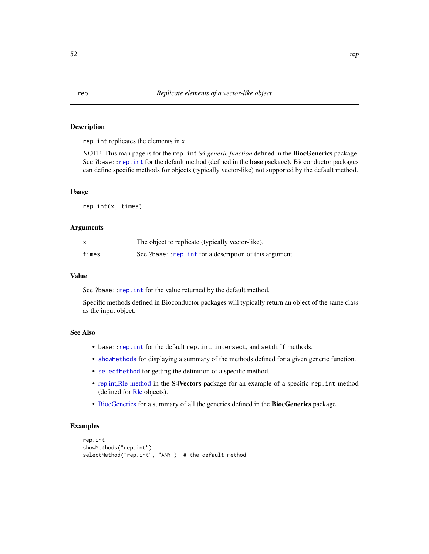<span id="page-51-0"></span>rep.int replicates the elements in x.

NOTE: This man page is for the rep.int *S4 generic function* defined in the BiocGenerics package. See ?base:[:rep.int](#page-51-0) for the default method (defined in the **base** package). Bioconductor packages can define specific methods for objects (typically vector-like) not supported by the default method.

## Usage

rep.int(x, times)

#### Arguments

|       | The object to replicate (typically vector-like).         |
|-------|----------------------------------------------------------|
| times | See ?base:: rep. int for a description of this argument. |

## Value

See ?base:: rep. int for the value returned by the default method.

Specific methods defined in Bioconductor packages will typically return an object of the same class as the input object.

## See Also

- base:[:rep.int](#page-51-0) for the default rep.int, intersect, and setdiff methods.
- [showMethods](#page-0-0) for displaying a summary of the methods defined for a given generic function.
- [selectMethod](#page-0-0) for getting the definition of a specific method.
- [rep.int,Rle-method](#page-0-0) in the S4Vectors package for an example of a specific rep.int method (defined for [Rle](#page-0-0) objects).
- [BiocGenerics](#page-2-0) for a summary of all the generics defined in the BiocGenerics package.

```
rep.int
showMethods("rep.int")
selectMethod("rep.int", "ANY") # the default method
```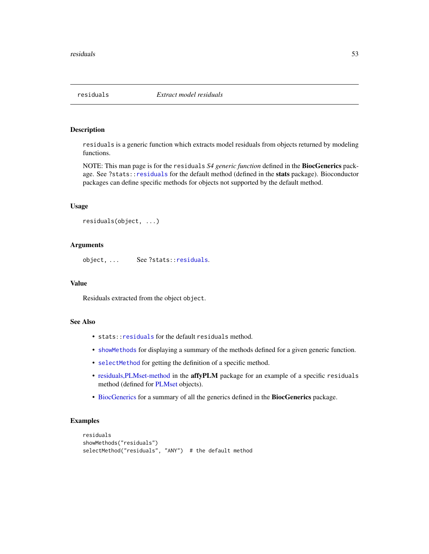<span id="page-52-0"></span>

residuals is a generic function which extracts model residuals from objects returned by modeling functions.

NOTE: This man page is for the residuals *S4 generic function* defined in the BiocGenerics package. See ?stats:[:residuals](#page-52-0) for the default method (defined in the stats package). Bioconductor packages can define specific methods for objects not supported by the default method.

## Usage

```
residuals(object, ...)
```
## Arguments

object, ... See ?stats:[:residuals](#page-52-0).

## Value

Residuals extracted from the object object.

# See Also

- stats:[:residuals](#page-52-0) for the default residuals method.
- [showMethods](#page-0-0) for displaying a summary of the methods defined for a given generic function.
- [selectMethod](#page-0-0) for getting the definition of a specific method.
- [residuals,PLMset-method](#page-0-0) in the affyPLM package for an example of a specific residuals method (defined for [PLMset](#page-0-0) objects).
- [BiocGenerics](#page-2-0) for a summary of all the generics defined in the BiocGenerics package.

```
residuals
showMethods("residuals")
selectMethod("residuals", "ANY") # the default method
```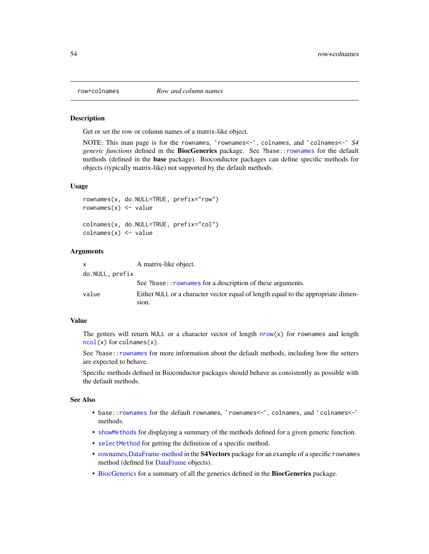<span id="page-53-0"></span>

Get or set the row or column names of a matrix-like object.

NOTE: This man page is for the rownames, `rownames<-`, colnames, and `colnames<-` *S4 generic functions* defined in the BiocGenerics package. See ?base:[:rownames](#page-53-0) for the default methods (defined in the base package). Bioconductor packages can define specific methods for objects (typically matrix-like) not supported by the default methods.

### Usage

```
rownames(x, do.NULL=TRUE, prefix="row")
rownames(x) <- value
colnames(x, do.NULL=TRUE, prefix="col")
colnames(x) <- value
```
#### Arguments

| $\mathsf{x}$    | A matrix-like object.                                                             |
|-----------------|-----------------------------------------------------------------------------------|
| do.NULL, prefix |                                                                                   |
|                 | See ?base:: rownames for a description of these arguments.                        |
| value           | Either NULL or a character vector equal of length equal to the appropriate dimen- |
|                 | sion.                                                                             |

#### Value

The getters will return NULL or a character vector of length  $nrow(x)$  $nrow(x)$  for rownames and length [ncol\(](#page-38-1)x) for colnames(x).

See ?base:[:rownames](#page-53-0) for more information about the default methods, including how the setters are expected to behave.

Specific methods defined in Bioconductor packages should behave as consistently as possible with the default methods.

## See Also

- base:[:rownames](#page-53-0) for the default rownames, `rownames<-`, colnames, and `colnames<-` methods.
- [showMethods](#page-0-0) for displaying a summary of the methods defined for a given generic function.
- [selectMethod](#page-0-0) for getting the definition of a specific method.
- [rownames,DataFrame-method](#page-0-0) in the S4Vectors package for an example of a specific rownames method (defined for [DataFrame](#page-0-0) objects).
- [BiocGenerics](#page-2-0) for a summary of all the generics defined in the BiocGenerics package.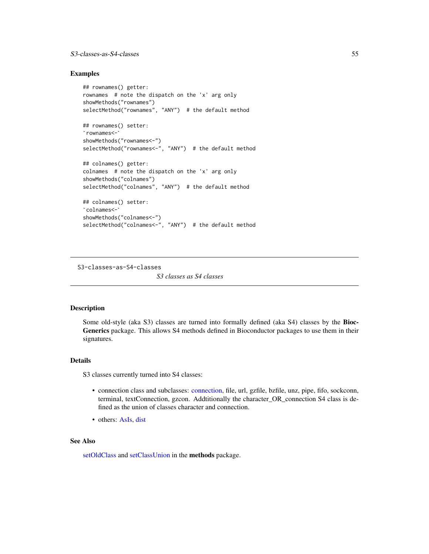# S3-classes-as-S4-classes 55

## Examples

```
## rownames() getter:
rownames # note the dispatch on the 'x' arg only
showMethods("rownames")
selectMethod("rownames", "ANY") # the default method<br>## rownames() setter:<br>`rownames<-`
## rownames() setter:
showMethods("rownames<-")
selectMethod("rownames<-", "ANY") # the default method
## colnames() getter:
colnames # note the dispatch on the 'x' arg only
showMethods("colnames")
selectMethod("colnames", "ANY") # the default method
## colnames() setter:
 electMethod<br># colnames(<br>colnames<-`
showMethods("colnames<-")
selectMethod("colnames<-", "ANY") # the default method
```
S3-classes-as-S4-classes *S3 classes as S4 classes*

## Description

Some old-style (aka S3) classes are turned into formally defined (aka S4) classes by the **Bioc-**Generics package. This allows S4 methods defined in Bioconductor packages to use them in their signatures.

## Details

S3 classes currently turned into S4 classes:

- connection class and subclasses: [connection,](#page-0-0) file, url, gzfile, bzfile, unz, pipe, fifo, sockconn, terminal, textConnection, gzcon. Addtitionally the character\_OR\_connection S4 class is defined as the union of classes character and connection.
- others: [AsIs,](#page-0-0) [dist](#page-0-0)

## See Also

[setOldClass](#page-0-0) and [setClassUnion](#page-0-0) in the methods package.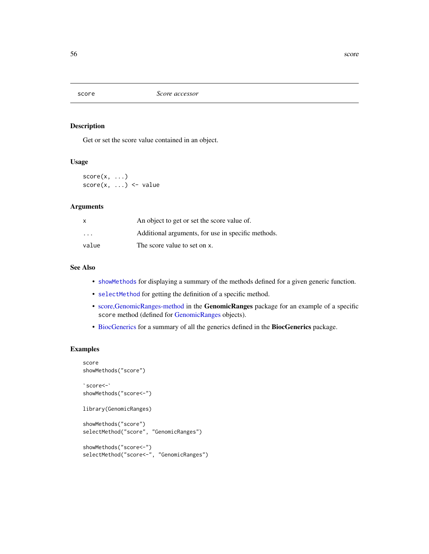Get or set the score value contained in an object.

# Usage

 $score(x, \ldots)$  $score(x, ...) \leftarrow value$ 

## Arguments

| X       | An object to get or set the score value of.        |
|---------|----------------------------------------------------|
| $\cdot$ | Additional arguments, for use in specific methods. |
| value   | The score value to set on x.                       |

### See Also

- [showMethods](#page-0-0) for displaying a summary of the methods defined for a given generic function.
- [selectMethod](#page-0-0) for getting the definition of a specific method.
- [score,GenomicRanges-method](#page-0-0) in the GenomicRanges package for an example of a specific score method (defined for [GenomicRanges](#page-0-0) objects).
- [BiocGenerics](#page-2-0) for a summary of all the generics defined in the BiocGenerics package.

```
score
showMethods("score")
 core<br>howMetho<br>score<-`
showMethods("score<-")
library(GenomicRanges)
showMethods("score")
selectMethod("score", "GenomicRanges")
```

```
showMethods("score<-")
selectMethod("score<-", "GenomicRanges")
```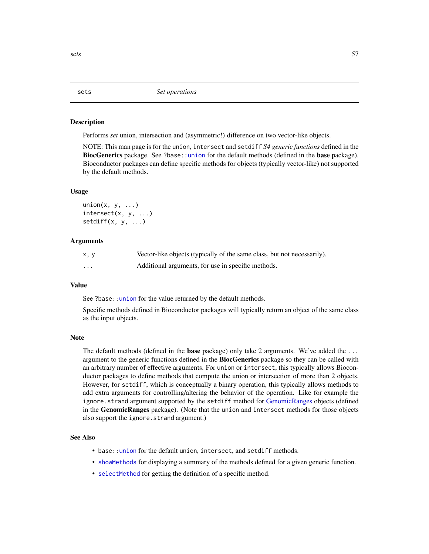<span id="page-56-0"></span>Performs *set* union, intersection and (asymmetric!) difference on two vector-like objects.

NOTE: This man page is for the union, intersect and setdiff *S4 generic functions* defined in the BiocGenerics package. See ?base:[:union](#page-56-0) for the default methods (defined in the base package). Bioconductor packages can define specific methods for objects (typically vector-like) not supported by the default methods.

## Usage

```
union(x, y, ...)intersect(x, y, ...)
setdiff(x, y, \ldots)
```
#### Arguments

| x.v | Vector-like objects (typically of the same class, but not necessarily). |
|-----|-------------------------------------------------------------------------|
| .   | Additional arguments, for use in specific methods.                      |

# Value

See ?base:[:union](#page-56-0) for the value returned by the default methods.

Specific methods defined in Bioconductor packages will typically return an object of the same class as the input objects.

## Note

The default methods (defined in the **base** package) only take 2 arguments. We've added the  $\dots$ argument to the generic functions defined in the **BiocGenerics** package so they can be called with an arbitrary number of effective arguments. For union or intersect, this typically allows Bioconductor packages to define methods that compute the union or intersection of more than 2 objects. However, for setdiff, which is conceptually a binary operation, this typically allows methods to add extra arguments for controlling/altering the behavior of the operation. Like for example the ignore.strand argument supported by the setdiff method for [GenomicRanges](#page-0-0) objects (defined in the **GenomicRanges** package). (Note that the union and intersect methods for those objects also support the ignore.strand argument.)

## See Also

- base:: union for the default union, intersect, and setdiff methods.
- [showMethods](#page-0-0) for displaying a summary of the methods defined for a given generic function.
- [selectMethod](#page-0-0) for getting the definition of a specific method.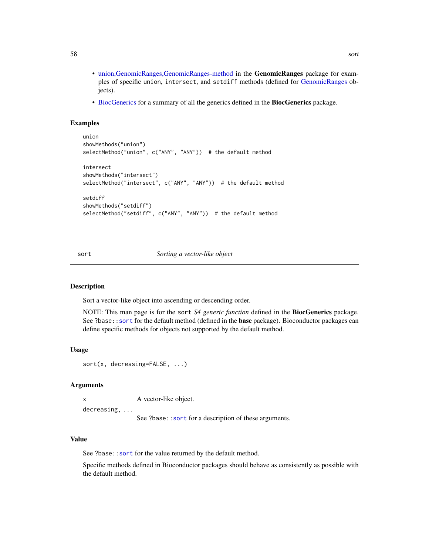- [union,GenomicRanges,GenomicRanges-method](#page-0-0) in the GenomicRanges package for examples of specific union, intersect, and setdiff methods (defined for [GenomicRanges](#page-0-0) objects).
- [BiocGenerics](#page-2-0) for a summary of all the generics defined in the BiocGenerics package.

## Examples

```
union
showMethods("union")
selectMethod("union", c("ANY", "ANY")) # the default method
intersect
showMethods("intersect")
selectMethod("intersect", c("ANY", "ANY")) # the default method
setdiff
showMethods("setdiff")
selectMethod("setdiff", c("ANY", "ANY")) # the default method
```
<span id="page-57-0"></span>sort *Sorting a vector-like object*

## Description

Sort a vector-like object into ascending or descending order.

NOTE: This man page is for the sort *S4 generic function* defined in the BiocGenerics package. See ?base:[:sort](#page-57-0) for the default method (defined in the **base** package). Bioconductor packages can define specific methods for objects not supported by the default method.

### Usage

```
sort(x, decreasing=FALSE, ...)
```
### Arguments

x A vector-like object.

decreasing, ...

See ?base:: sort for a description of these arguments.

## Value

See ?base:: sort for the value returned by the default method.

Specific methods defined in Bioconductor packages should behave as consistently as possible with the default method.

58 sort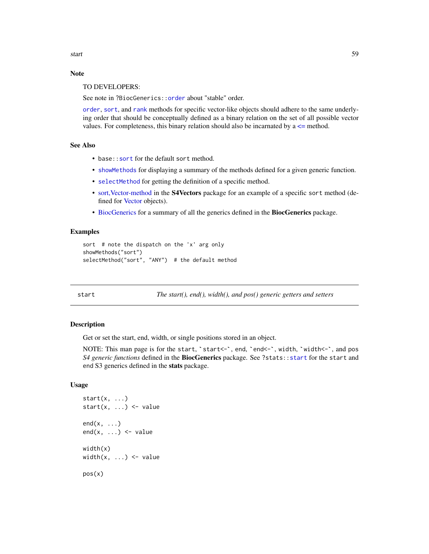start 59 metal 1996 aan de Staatstelling in de Staatstelling in de Staatstelling in de Staatstelling in de Sta

# Note

TO DEVELOPERS:

See note in ?BiocGenerics:: order about "stable" order.

[order](#page-40-0), [sort](#page-57-0), and [rank](#page-48-0) methods for specific vector-like objects should adhere to the same underlying order that should be conceptually defined as a binary relation on the set of all possible vector values. For completeness, this binary relation should also be incarnated by  $a \le$  method.

## See Also

- base:: sort for the default sort method.
- [showMethods](#page-0-0) for displaying a summary of the methods defined for a given generic function.
- [selectMethod](#page-0-0) for getting the definition of a specific method.
- [sort,Vector-method](#page-0-0) in the S4Vectors package for an example of a specific sort method (defined for [Vector](#page-0-0) objects).
- [BiocGenerics](#page-2-0) for a summary of all the generics defined in the BiocGenerics package.

## Examples

```
sort # note the dispatch on the 'x' arg only
showMethods("sort")
selectMethod("sort", "ANY") # the default method
```
<span id="page-58-0"></span>

start *The start(), end(), width(), and pos() generic getters and setters*

## **Description**

Get or set the start, end, width, or single positions stored in an object.

NOTE: This man page is for the start, `start<-`, end, `end<-`, width, `width<-`, and pos *S4 generic functions* defined in the BiocGenerics package. See ?stats:[:start](#page-58-0) for the start and end S3 generics defined in the stats package.

## Usage

```
start(x, \ldots)start(x, \ldots) \leq valueend(x, \ldots)end(x, \ldots) \leq -valuewidth(x)
width(x, \ldots) <- value
pos(x)
```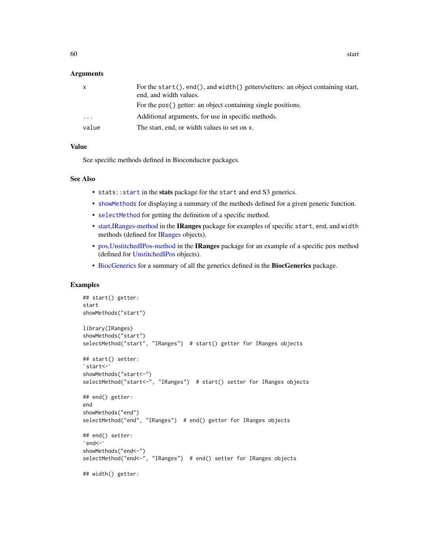## Arguments

| $\mathsf{X}$         | For the start(), end(), and width() getters/setters: an object containing start,<br>end, and width values. |
|----------------------|------------------------------------------------------------------------------------------------------------|
|                      | For the pos{ } getter: an object containing single positions.                                              |
| $\ddot{\phantom{0}}$ | Additional arguments, for use in specific methods.                                                         |
| value                | The start, end, or width values to set on x.                                                               |

# Value

See specific methods defined in Bioconductor packages.

## See Also

- stats:[:start](#page-58-0) in the stats package for the start and end S3 generics.
- [showMethods](#page-0-0) for displaying a summary of the methods defined for a given generic function.
- [selectMethod](#page-0-0) for getting the definition of a specific method.
- [start,IRanges-method](#page-0-0) in the IRanges package for examples of specific start, end, and width methods (defined for [IRanges](#page-0-0) objects).
- [pos,UnstitchedIPos-method](#page-0-0) in the IRanges package for an example of a specific pos method (defined for [UnstitchedIPos](#page-0-0) objects).
- [BiocGenerics](#page-2-0) for a summary of all the generics defined in the BiocGenerics package.

```
## start() getter:
start
showMethods("start")
library(IRanges)
showMethods("start")
selectMethod("start", "IRanges") # start() getter for IRanges objects
`start<-`
## start() setter:
showMethods("start<-")
selectMethod("start<-", "IRanges") # start() setter for IRanges objects
## end() getter:
end
showMethods("end")
selectMethod("end", "IRanges") # end() getter for IRanges objects
`end<-`
## end() setter:
showMethods("end<-")
selectMethod("end<-", "IRanges") # end() setter for IRanges objects
## width() getter:
```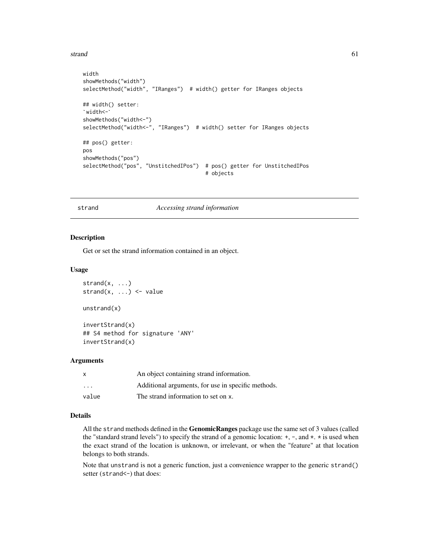#### strand 61

```
width
showMethods("width")
selectMethod("width", "IRanges") # width() getter for IRanges objects
`width<-`
## width() setter:
showMethods("width<-")
selectMethod("width<-", "IRanges") # width() setter for IRanges objects
## pos() getter:
pos
showMethods("pos")
selectMethod("pos", "UnstitchedIPos") # pos() getter for UnstitchedIPos
                                        # objects
```
# strand *Accessing strand information*

#### Description

Get or set the strand information contained in an object.

# Usage

```
strand(x, \ldots)strand(x, \ldots) <- value
unstrand(x)
```
invertStrand(x) ## S4 method for signature 'ANY' invertStrand(x)

## Arguments

| X     | An object containing strand information.           |
|-------|----------------------------------------------------|
| .     | Additional arguments, for use in specific methods. |
| value | The strand information to set on x.                |

# Details

All the strand methods defined in the GenomicRanges package use the same set of 3 values (called the "standard strand levels") to specify the strand of a genomic location:  $+$ ,  $-$ , and  $*$ .  $*$  is used when the exact strand of the location is unknown, or irrelevant, or when the "feature" at that location belongs to both strands.

Note that unstrand is not a generic function, just a convenience wrapper to the generic strand() setter (strand <- ) that does: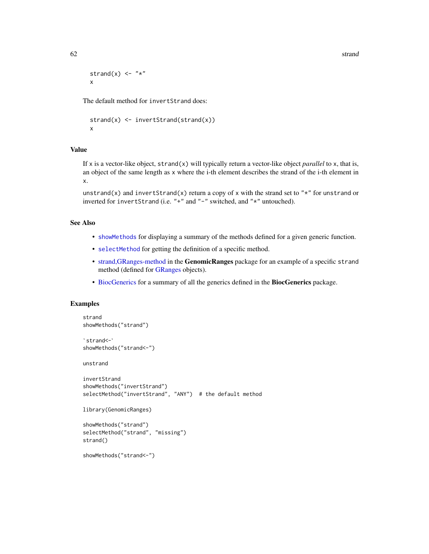62 strand strand strand strand strand strand strand strand strand strand strand strand strand strand strand strand

```
strand(x) \leq - "\star"
x
```
The default method for invertStrand does:

```
strand(x) <- invertStrand(strand(x))
x
```
# Value

If x is a vector-like object, strand(x) will typically return a vector-like object *parallel* to x, that is, an object of the same length as x where the i-th element describes the strand of the i-th element in x.

unstrand(x) and invertStrand(x) return a copy of x with the strand set to " $*$ " for unstrand or inverted for invertStrand (i.e. "+" and "-" switched, and "\*" untouched).

# See Also

- [showMethods](#page-0-0) for displaying a summary of the methods defined for a given generic function.
- [selectMethod](#page-0-0) for getting the definition of a specific method.
- [strand,GRanges-method](#page-0-0) in the GenomicRanges package for an example of a specific strand method (defined for [GRanges](#page-0-0) objects).
- [BiocGenerics](#page-2-0) for a summary of all the generics defined in the BiocGenerics package.

```
strand
showMethods("strand")
 trand<br>howMethod<br>strand<-`
showMethods("strand<-")
unstrand
invertStrand
showMethods("invertStrand")
selectMethod("invertStrand", "ANY") # the default method
library(GenomicRanges)
showMethods("strand")
selectMethod("strand", "missing")
strand()
showMethods("strand<-")
```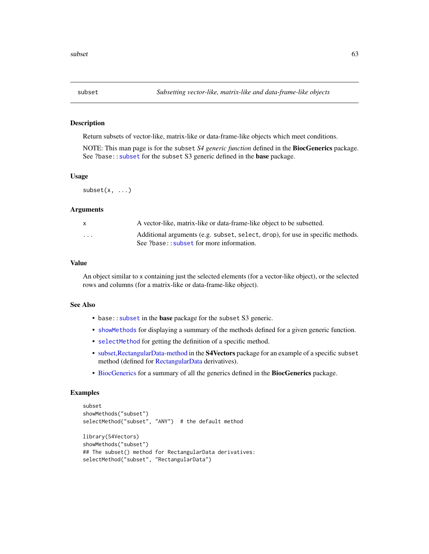<span id="page-62-0"></span>

Return subsets of vector-like, matrix-like or data-frame-like objects which meet conditions.

NOTE: This man page is for the subset *S4 generic function* defined in the BiocGenerics package. See ?base:: subset for the subset S3 generic defined in the base package.

## Usage

 $subset(x, \ldots)$ 

#### Arguments

| $\mathsf{x}$ | A vector-like, matrix-like or data-frame-like object to be subsetted.                                                      |
|--------------|----------------------------------------------------------------------------------------------------------------------------|
| $\cdots$     | Additional arguments (e.g. subset, select, drop), for use in specific methods.<br>See ?base:: subset for more information. |

#### Value

An object similar to x containing just the selected elements (for a vector-like object), or the selected rows and columns (for a matrix-like or data-frame-like object).

#### See Also

- base:: subset in the base package for the subset S3 generic.
- [showMethods](#page-0-0) for displaying a summary of the methods defined for a given generic function.
- [selectMethod](#page-0-0) for getting the definition of a specific method.
- [subset,RectangularData-method](#page-0-0) in the S4Vectors package for an example of a specific subset method (defined for [RectangularData](#page-0-0) derivatives).
- [BiocGenerics](#page-2-0) for a summary of all the generics defined in the BiocGenerics package.

```
subset
showMethods("subset")
selectMethod("subset", "ANY") # the default method
library(S4Vectors)
showMethods("subset")
## The subset() method for RectangularData derivatives:
selectMethod("subset", "RectangularData")
```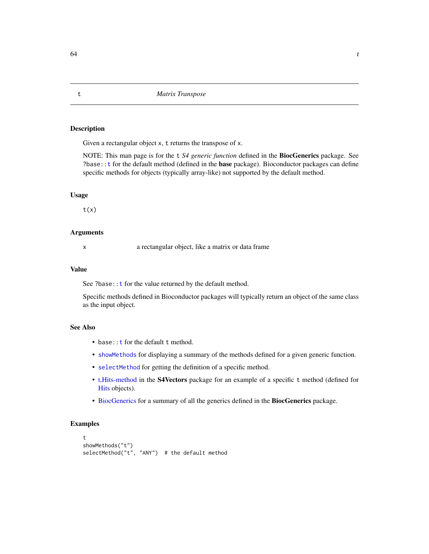<span id="page-63-0"></span>Given a rectangular object x, t returns the transpose of x.

NOTE: This man page is for the t *S4 generic function* defined in the BiocGenerics package. See ?base:[:t](#page-63-0) for the default method (defined in the base package). Bioconductor packages can define specific methods for objects (typically array-like) not supported by the default method.

## Usage

 $t(x)$ 

## Arguments

x a rectangular object, like a matrix or data frame

# Value

See ?base:: t for the value returned by the default method.

Specific methods defined in Bioconductor packages will typically return an object of the same class as the input object.

# See Also

- base:: **t** for the default **t** method.
- [showMethods](#page-0-0) for displaying a summary of the methods defined for a given generic function.
- [selectMethod](#page-0-0) for getting the definition of a specific method.
- [t,Hits-method](#page-0-0) in the S4Vectors package for an example of a specific t method (defined for [Hits](#page-0-0) objects).
- [BiocGenerics](#page-2-0) for a summary of all the generics defined in the BiocGenerics package.

```
t
showMethods("t")
selectMethod("t", "ANY") # the default method
```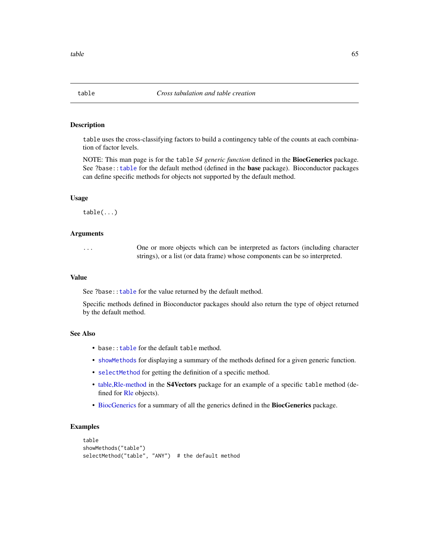table uses the cross-classifying factors to build a contingency table of the counts at each combination of factor levels.

NOTE: This man page is for the table *S4 generic function* defined in the BiocGenerics package. See ?base:[:table](#page-64-0) for the default method (defined in the base package). Bioconductor packages can define specific methods for objects not supported by the default method.

## Usage

table(...)

## Arguments

... One or more objects which can be interpreted as factors (including character strings), or a list (or data frame) whose components can be so interpreted.

## Value

See ?base:: table for the value returned by the default method.

Specific methods defined in Bioconductor packages should also return the type of object returned by the default method.

#### See Also

- base:: table for the default table method.
- [showMethods](#page-0-0) for displaying a summary of the methods defined for a given generic function.
- [selectMethod](#page-0-0) for getting the definition of a specific method.
- [table,Rle-method](#page-0-0) in the S4Vectors package for an example of a specific table method (defined for [Rle](#page-0-0) objects).
- [BiocGenerics](#page-2-0) for a summary of all the generics defined in the BiocGenerics package.

```
table
showMethods("table")
selectMethod("table", "ANY") # the default method
```
<span id="page-64-0"></span>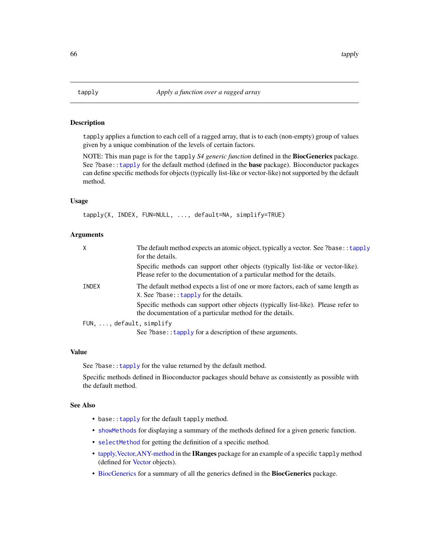<span id="page-65-0"></span>

tapply applies a function to each cell of a ragged array, that is to each (non-empty) group of values given by a unique combination of the levels of certain factors.

NOTE: This man page is for the tapply *S4 generic function* defined in the BiocGenerics package. See ?base:[:tapply](#page-65-0) for the default method (defined in the base package). Bioconductor packages can define specific methods for objects (typically list-like or vector-like) not supported by the default method.

## Usage

tapply(X, INDEX, FUN=NULL, ..., default=NA, simplify=TRUE)

#### Arguments

| $\mathsf{X}$                      | The default method expects an atomic object, typically a vector. See ?base:: tapply<br>for the details.                                                       |
|-----------------------------------|---------------------------------------------------------------------------------------------------------------------------------------------------------------|
|                                   | Specific methods can support other objects (typically list-like or vector-like).<br>Please refer to the documentation of a particular method for the details. |
| INDEX                             | The default method expects a list of one or more factors, each of same length as<br>X. See ?base:: $t$ apply for the details.                                 |
|                                   | Specific methods can support other objects (typically list-like). Please refer to<br>the documentation of a particular method for the details.                |
| $FUN, \ldots$ , default, simplify |                                                                                                                                                               |
|                                   | See ?base:: tapply for a description of these arguments.                                                                                                      |

# Value

See ?base:: tapply for the value returned by the default method.

Specific methods defined in Bioconductor packages should behave as consistently as possible with the default method.

## See Also

- base:: tapply for the default tapply method.
- [showMethods](#page-0-0) for displaying a summary of the methods defined for a given generic function.
- [selectMethod](#page-0-0) for getting the definition of a specific method.
- [tapply,Vector,ANY-method](#page-0-0) in the IRanges package for an example of a specific tapply method (defined for [Vector](#page-0-0) objects).
- [BiocGenerics](#page-2-0) for a summary of all the generics defined in the BiocGenerics package.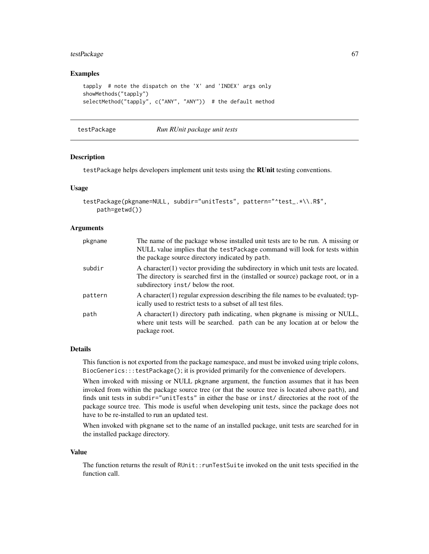# testPackage 67

## Examples

```
tapply # note the dispatch on the 'X' and 'INDEX' args only
showMethods("tapply")
selectMethod("tapply", c("ANY", "ANY")) # the default method
```
testPackage *Run RUnit package unit tests*

## Description

testPackage helps developers implement unit tests using the RUnit testing conventions.

## Usage

```
testPackage(pkgname=NULL, subdir="unitTests", pattern="^test_.*\\.R$",
   path=getwd())
```
## Arguments

| pkgname | The name of the package whose installed unit tests are to be run. A missing or<br>NULL value implies that the testPackage command will look for tests within<br>the package source directory indicated by path. |
|---------|-----------------------------------------------------------------------------------------------------------------------------------------------------------------------------------------------------------------|
| subdir  | A character (1) vector providing the subdirectory in which unit tests are located.<br>The directory is searched first in the (installed or source) package root, or in a<br>subdirectory inst/ below the root.  |
| pattern | A character (1) regular expression describing the file names to be evaluated; typ-<br>ically used to restrict tests to a subset of all test files.                                                              |
| path    | A character(1) directory path indicating, when pkgname is missing or NULL,<br>where unit tests will be searched. path can be any location at or below the<br>package root.                                      |

## Details

This function is not exported from the package namespace, and must be invoked using triple colons, BiocGenerics:::testPackage(); it is provided primarily for the convenience of developers.

When invoked with missing or NULL pkgname argument, the function assumes that it has been invoked from within the package source tree (or that the source tree is located above path), and finds unit tests in subdir="unitTests" in either the base or inst/ directories at the root of the package source tree. This mode is useful when developing unit tests, since the package does not have to be re-installed to run an updated test.

When invoked with pkgname set to the name of an installed package, unit tests are searched for in the installed package directory.

#### Value

The function returns the result of RUnit::runTestSuite invoked on the unit tests specified in the function call.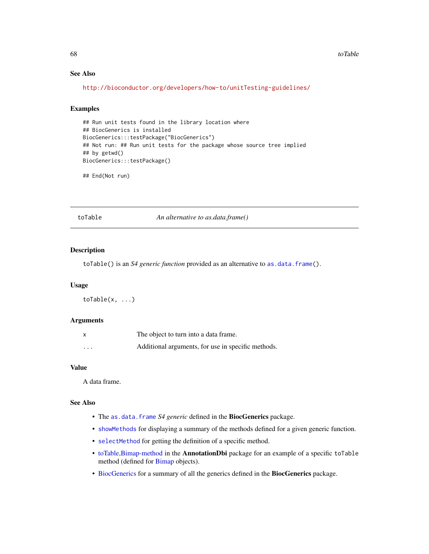# See Also

```
http://bioconductor.org/developers/how-to/unitTesting-guidelines/
```
# Examples

```
## Run unit tests found in the library location where
## BiocGenerics is installed
BiocGenerics:::testPackage("BiocGenerics")
## Not run: ## Run unit tests for the package whose source tree implied
## by getwd()
BiocGenerics:::testPackage()
```
## End(Not run)

toTable *An alternative to as.data.frame()*

# Description

toTable() is an *S4 generic function* provided as an alternative to [as.data.frame\(](#page-6-0)).

# Usage

toTable(x, ...)

## Arguments

|                      | The object to turn into a data frame.              |
|----------------------|----------------------------------------------------|
| $\ddot{\phantom{0}}$ | Additional arguments, for use in specific methods. |

### Value

A data frame.

## See Also

- The [as.data.frame](#page-6-0) *S4 generic* defined in the BiocGenerics package.
- [showMethods](#page-0-0) for displaying a summary of the methods defined for a given generic function.
- [selectMethod](#page-0-0) for getting the definition of a specific method.
- [toTable,Bimap-method](#page-0-0) in the AnnotationDbi package for an example of a specific toTable method (defined for [Bimap](#page-0-0) objects).
- [BiocGenerics](#page-2-0) for a summary of all the generics defined in the BiocGenerics package.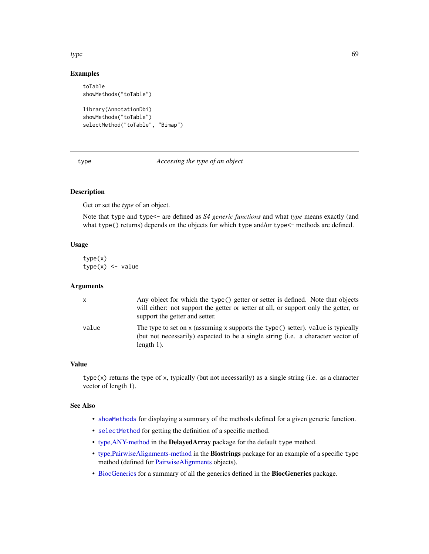## type 69

# Examples

```
toTable
showMethods("toTable")
library(AnnotationDbi)
showMethods("toTable")
```
selectMethod("toTable", "Bimap")

type *Accessing the type of an object*

# Description

Get or set the *type* of an object.

Note that type and type<- are defined as *S4 generic functions* and what *type* means exactly (and what type() returns) depends on the objects for which type and/or type<- methods are defined.

# Usage

type(x)  $type(x) \leftarrow value$ 

## Arguments

| x     | Any object for which the type() getter or setter is defined. Note that objects<br>will either: not support the getter or setter at all, or support only the getter, or<br>support the getter and setter. |
|-------|----------------------------------------------------------------------------------------------------------------------------------------------------------------------------------------------------------|
| value | The type to set on x (assuming x supports the type() setter). value is typically<br>(but not necessarily) expected to be a single string (i.e. a character vector of<br>length $1$ ).                    |

## Value

 $type(x)$  returns the type of x, typically (but not necessarily) as a single string (i.e. as a character vector of length 1).

## See Also

- [showMethods](#page-0-0) for displaying a summary of the methods defined for a given generic function.
- [selectMethod](#page-0-0) for getting the definition of a specific method.
- [type,ANY-method](#page-0-0) in the DelayedArray package for the default type method.
- [type,PairwiseAlignments-method](#page-0-0) in the Biostrings package for an example of a specific type method (defined for [PairwiseAlignments](#page-0-0) objects).
- [BiocGenerics](#page-2-0) for a summary of all the generics defined in the BiocGenerics package.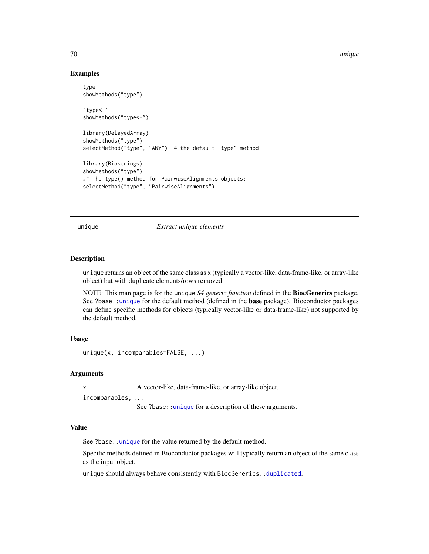70 unique

## Examples

```
type
showMethods("type")
 ype<br>howMeth<br>type<-`
showMethods("type<-")
library(DelayedArray)
showMethods("type")
selectMethod("type", "ANY") # the default "type" method
library(Biostrings)
showMethods("type")
## The type() method for PairwiseAlignments objects:
selectMethod("type", "PairwiseAlignments")
```
<span id="page-69-0"></span>unique *Extract unique elements*

# Description

unique returns an object of the same class as x (typically a vector-like, data-frame-like, or array-like object) but with duplicate elements/rows removed.

NOTE: This man page is for the unique *S4 generic function* defined in the BiocGenerics package. See ?base:[:unique](#page-69-0) for the default method (defined in the base package). Bioconductor packages can define specific methods for objects (typically vector-like or data-frame-like) not supported by the default method.

# Usage

```
unique(x, incomparables=FALSE, ...)
```
# Arguments

x A vector-like, data-frame-like, or array-like object.

incomparables, ...

See ?base:[:unique](#page-69-0) for a description of these arguments.

## Value

See ?base:[:unique](#page-69-0) for the value returned by the default method.

Specific methods defined in Bioconductor packages will typically return an object of the same class as the input object.

unique should always behave consistently with BiocGenerics:: duplicated.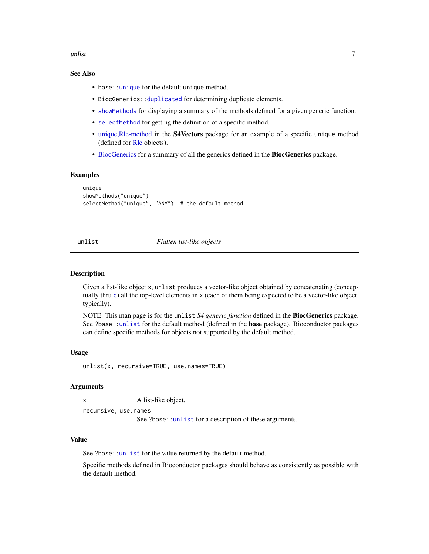unlist 71

# See Also

- base:: unique for the default unique method.
- BiocGenerics:[:duplicated](#page-20-0) for determining duplicate elements.
- [showMethods](#page-0-0) for displaying a summary of the methods defined for a given generic function.
- [selectMethod](#page-0-0) for getting the definition of a specific method.
- [unique,Rle-method](#page-0-0) in the S4Vectors package for an example of a specific unique method (defined for [Rle](#page-0-0) objects).
- [BiocGenerics](#page-2-0) for a summary of all the generics defined in the BiocGenerics package.

#### Examples

```
unique
showMethods("unique")
selectMethod("unique", "ANY") # the default method
```
<span id="page-70-0"></span>unlist *Flatten list-like objects*

## **Description**

Given a list-like object x, unlist produces a vector-like object obtained by concatenating (conceptually thru [c](#page-0-0)) all the top-level elements in x (each of them being expected to be a vector-like object, typically).

NOTE: This man page is for the unlist *S4 generic function* defined in the BiocGenerics package. See ?base:[:unlist](#page-70-0) for the default method (defined in the **base** package). Bioconductor packages can define specific methods for objects not supported by the default method.

#### Usage

unlist(x, recursive=TRUE, use.names=TRUE)

## Arguments

x A list-like object.

recursive, use.names

See ?base:[:unlist](#page-70-0) for a description of these arguments.

## Value

See ?base:[:unlist](#page-70-0) for the value returned by the default method.

Specific methods defined in Bioconductor packages should behave as consistently as possible with the default method.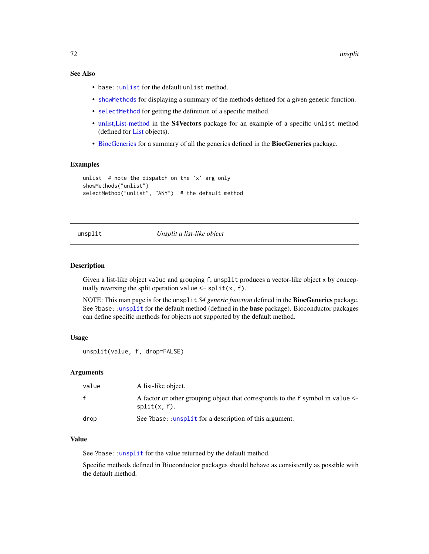# See Also

- base:[:unlist](#page-70-0) for the default unlist method.
- [showMethods](#page-0-0) for displaying a summary of the methods defined for a given generic function.
- [selectMethod](#page-0-0) for getting the definition of a specific method.
- [unlist,List-method](#page-0-0) in the S4Vectors package for an example of a specific unlist method (defined for [List](#page-0-0) objects).
- [BiocGenerics](#page-2-0) for a summary of all the generics defined in the BiocGenerics package.

## Examples

```
unlist # note the dispatch on the 'x' arg only
showMethods("unlist")
selectMethod("unlist", "ANY") # the default method
```
# <span id="page-71-0"></span>unsplit *Unsplit a list-like object*

# **Description**

Given a list-like object value and grouping f, unsplit produces a vector-like object x by conceptually reversing the split operation value  $\le$  - split(x, f).

NOTE: This man page is for the unsplit *S4 generic function* defined in the BiocGenerics package. See ?base:[:unsplit](#page-71-0) for the default method (defined in the base package). Bioconductor packages can define specific methods for objects not supported by the default method.

## Usage

```
unsplit(value, f, drop=FALSE)
```
## Arguments

| value | A list-like object.                                                                               |
|-------|---------------------------------------------------------------------------------------------------|
| f     | A factor or other grouping object that corresponds to the f symbol in value <-<br>$split(x, f)$ . |
| drop  | See ?base::unsplit for a description of this argument.                                            |

#### Value

See ?base:[:unsplit](#page-71-0) for the value returned by the default method.

Specific methods defined in Bioconductor packages should behave as consistently as possible with the default method.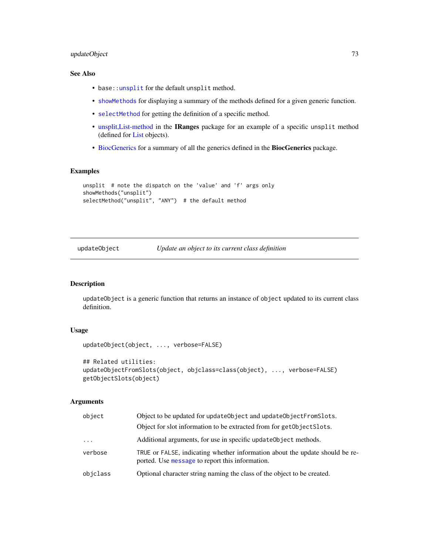# <span id="page-72-0"></span>updateObject 73

# See Also

- base:[:unsplit](#page-71-0) for the default unsplit method.
- [showMethods](#page-0-0) for displaying a summary of the methods defined for a given generic function.
- [selectMethod](#page-0-0) for getting the definition of a specific method.
- [unsplit,List-method](#page-0-0) in the IRanges package for an example of a specific unsplit method (defined for [List](#page-0-0) objects).
- [BiocGenerics](#page-2-0) for a summary of all the generics defined in the BiocGenerics package.

# Examples

```
unsplit # note the dispatch on the 'value' and 'f' args only
showMethods("unsplit")
selectMethod("unsplit", "ANY") # the default method
```
updateObject *Update an object to its current class definition*

#### Description

updateObject is a generic function that returns an instance of object updated to its current class definition.

# Usage

```
updateObject(object, ..., verbose=FALSE)
```

```
## Related utilities:
updateObjectFromSlots(object, objclass=class(object), ..., verbose=FALSE)
getObjectSlots(object)
```
#### Arguments

| object   | Object to be updated for updateObject and updateObjectFromSlots.                                                                |
|----------|---------------------------------------------------------------------------------------------------------------------------------|
|          | Object for slot information to be extracted from for get Object Slots.                                                          |
| $\ddots$ | Additional arguments, for use in specific update Object methods.                                                                |
| verbose  | TRUE or FALSE, indicating whether information about the update should be re-<br>ported. Use message to report this information. |
| objclass | Optional character string naming the class of the object to be created.                                                         |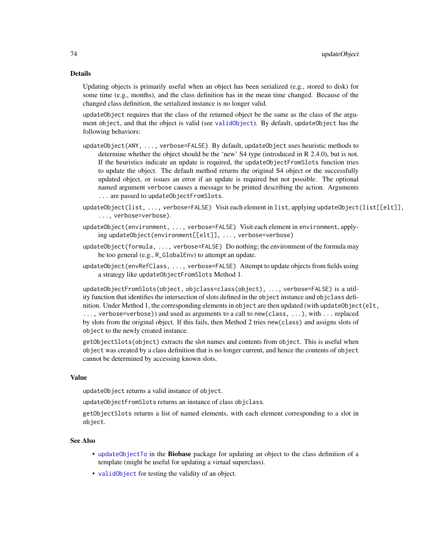#### <span id="page-73-0"></span>Details

Updating objects is primarily useful when an object has been serialized (e.g., stored to disk) for some time (e.g., months), and the class definition has in the mean time changed. Because of the changed class definition, the serialized instance is no longer valid.

updateObject requires that the class of the returned object be the same as the class of the argument object, and that the object is valid (see [validObject](#page-0-0)). By default, updateObject has the following behaviors:

- updateObject(ANY, ..., verbose=FALSE) By default, updateObject uses heuristic methods to determine whether the object should be the 'new' S4 type (introduced in R 2.4.0), but is not. If the heuristics indicate an update is required, the updateObjectFromSlots function tries to update the object. The default method returns the original S4 object or the successfully updated object, or issues an error if an update is required but not possible. The optional named argument verbose causes a message to be printed describing the action. Arguments ... are passed to updateObjectFromSlots.
- updateObject(list, ..., verbose=FALSE) Visit each element in list, applying updateObject(list[[elt]], ..., verbose=verbose).
- updateObject(environment, ..., verbose=FALSE) Visit each element in environment, applying updateObject(environment[[elt]], ..., verbose=verbose)
- updateObject(formula, ..., verbose=FALSE) Do nothing; the environment of the formula may be too general (e.g., R\_GlobalEnv) to attempt an update.
- updateObject(envRefClass, ..., verbose=FALSE) Attempt to update objects from fields using a strategy like updateObjectFromSlots Method 1.

updateObjectFromSlots(object, objclass=class(object), ..., verbose=FALSE) is a utility function that identifies the intersection of slots defined in the object instance and objclass definition. Under Method 1, the corresponding elements in object are then updated (with updateObject(elt, ..., verbose=verbose)) and used as arguments to a call to new(class, ...), with ... replaced by slots from the original object. If this fails, then Method 2 tries new(class) and assigns slots of object to the newly created instance.

getObjectSlots(object) extracts the slot names and contents from object. This is useful when object was created by a class definition that is no longer current, and hence the contents of object cannot be determined by accessing known slots.

# Value

updateObject returns a valid instance of object.

updateObjectFromSlots returns an instance of class objclass.

getObjectSlots returns a list of named elements, with each element corresponding to a slot in object.

#### See Also

- [updateObjectTo](#page-0-0) in the Biobase package for updating an object to the class definition of a template (might be useful for updating a virtual superclass).
- [validObject](#page-0-0) for testing the validity of an object.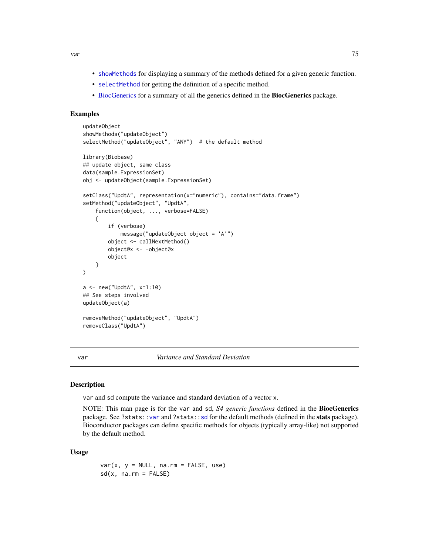<span id="page-74-2"></span>var 15

- [showMethods](#page-0-0) for displaying a summary of the methods defined for a given generic function.
- [selectMethod](#page-0-0) for getting the definition of a specific method.
- [BiocGenerics](#page-2-0) for a summary of all the generics defined in the BiocGenerics package.

# Examples

```
updateObject
showMethods("updateObject")
selectMethod("updateObject", "ANY") # the default method
library(Biobase)
## update object, same class
data(sample.ExpressionSet)
obj <- updateObject(sample.ExpressionSet)
setClass("UpdtA", representation(x="numeric"), contains="data.frame")
setMethod("updateObject", "UpdtA",
    function(object, ..., verbose=FALSE)
    {
        if (verbose)
           message("updateObject object = 'A'")
        object <- callNextMethod()
        object@x <- -object@x
        object
   }
)
a <- new("UpdtA", x=1:10)
## See steps involved
updateObject(a)
removeMethod("updateObject", "UpdtA")
removeClass("UpdtA")
```
<span id="page-74-0"></span>var *Variance and Standard Deviation*

#### <span id="page-74-1"></span>Description

var and sd compute the variance and standard deviation of a vector x.

NOTE: This man page is for the var and sd, *S4 generic functions* defined in the BiocGenerics package. See ?stats:[:var](#page-74-0) and ?stats:[:sd](#page-74-1) for the default methods (defined in the stats package). Bioconductor packages can define specific methods for objects (typically array-like) not supported by the default method.

#### Usage

 $var(x, y = NULL, na.rm = FALSE, use)$  $sd(x, na.rm = FALSE)$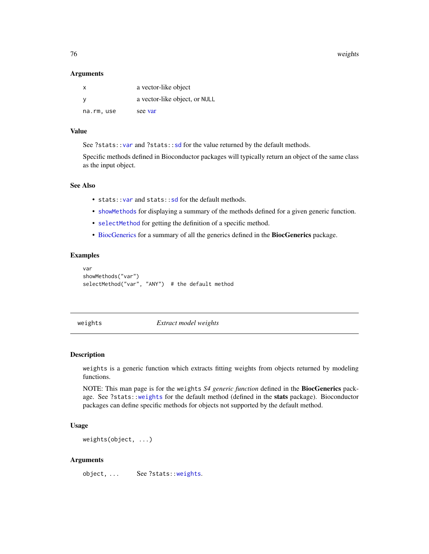<span id="page-75-1"></span>76 weights

#### **Arguments**

| X         | a vector-like object          |
|-----------|-------------------------------|
| - V       | a vector-like object, or NULL |
| na.rm,use | see var                       |

# Value

See ?stats:[:var](#page-74-0) and ?stats:[:sd](#page-74-1) for the value returned by the default methods.

Specific methods defined in Bioconductor packages will typically return an object of the same class as the input object.

# See Also

- stats:[:var](#page-74-0) and stats:[:sd](#page-74-1) for the default methods.
- [showMethods](#page-0-0) for displaying a summary of the methods defined for a given generic function.
- [selectMethod](#page-0-0) for getting the definition of a specific method.
- [BiocGenerics](#page-2-0) for a summary of all the generics defined in the BiocGenerics package.

#### Examples

```
var
showMethods("var")
selectMethod("var", "ANY") # the default method
```
<span id="page-75-0"></span>weights *Extract model weights*

# **Description**

weights is a generic function which extracts fitting weights from objects returned by modeling functions.

NOTE: This man page is for the weights *S4 generic function* defined in the BiocGenerics package. See ?stats:[:weights](#page-75-0) for the default method (defined in the stats package). Bioconductor packages can define specific methods for objects not supported by the default method.

## Usage

weights(object, ...)

### Arguments

object, ... See ?stats:[:weights](#page-75-0).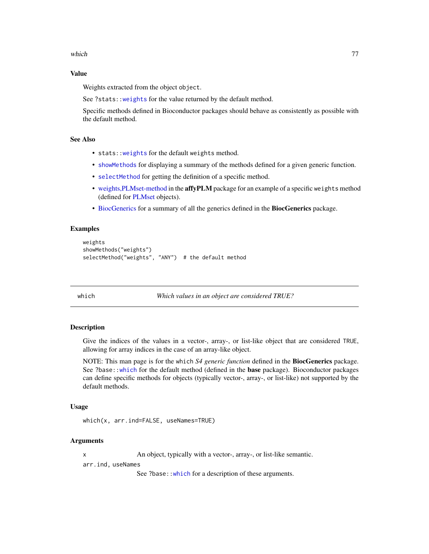<span id="page-76-1"></span>which the contract of the contract of the contract of the contract of the contract of the contract of the contract of the contract of the contract of the contract of the contract of the contract of the contract of the cont

# Value

Weights extracted from the object object.

See ?stats:[:weights](#page-75-0) for the value returned by the default method.

Specific methods defined in Bioconductor packages should behave as consistently as possible with the default method.

# See Also

- stats:[:weights](#page-75-0) for the default weights method.
- [showMethods](#page-0-0) for displaying a summary of the methods defined for a given generic function.
- [selectMethod](#page-0-0) for getting the definition of a specific method.
- [weights,PLMset-method](#page-0-0) in the affyPLM package for an example of a specific weights method (defined for [PLMset](#page-0-0) objects).
- [BiocGenerics](#page-2-0) for a summary of all the generics defined in the BiocGenerics package.

#### Examples

```
weights
showMethods("weights")
selectMethod("weights", "ANY") # the default method
```
<span id="page-76-0"></span>which *Which values in an object are considered TRUE?*

#### Description

Give the indices of the values in a vector-, array-, or list-like object that are considered TRUE, allowing for array indices in the case of an array-like object.

NOTE: This man page is for the which *S4 generic function* defined in the BiocGenerics package. See ?base:[:which](#page-76-0) for the default method (defined in the base package). Bioconductor packages can define specific methods for objects (typically vector-, array-, or list-like) not supported by the default methods.

### Usage

```
which(x, arr.ind=FALSE, useNames=TRUE)
```
#### Arguments

x An object, typically with a vector-, array-, or list-like semantic.

arr.ind, useNames

See ?base:[:which](#page-76-0) for a description of these arguments.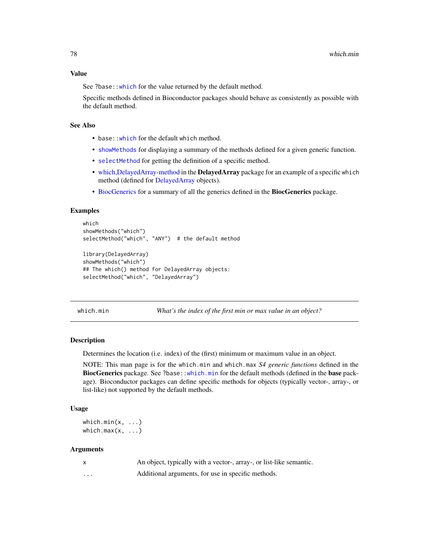<span id="page-77-1"></span>See ?base:[:which](#page-76-0) for the value returned by the default method.

Specific methods defined in Bioconductor packages should behave as consistently as possible with the default method.

#### See Also

- base:: which for the default which method.
- [showMethods](#page-0-0) for displaying a summary of the methods defined for a given generic function.
- [selectMethod](#page-0-0) for getting the definition of a specific method.
- which, Delayed Array-method in the **Delayed Array** package for an example of a specific which method (defined for [DelayedArray](#page-0-0) objects).
- [BiocGenerics](#page-2-0) for a summary of all the generics defined in the BiocGenerics package.

#### Examples

```
which
showMethods("which")
selectMethod("which", "ANY") # the default method
library(DelayedArray)
showMethods("which")
```

```
## The which() method for DelayedArray objects:
selectMethod("which", "DelayedArray")
```
<span id="page-77-0"></span>which.min *What's the index of the first min or max value in an object?*

## Description

Determines the location (i.e. index) of the (first) minimum or maximum value in an object.

NOTE: This man page is for the which.min and which.max *S4 generic functions* defined in the BiocGenerics package. See ?base:[:which.min](#page-77-0) for the default methods (defined in the base package). Bioconductor packages can define specific methods for objects (typically vector-, array-, or list-like) not supported by the default methods.

#### Usage

```
which.min(x, \ldots)which.max(x, \ldots)
```
#### Arguments

| $\mathsf{x}$ | An object, typically with a vector-, array-, or list-like semantic. |
|--------------|---------------------------------------------------------------------|
| .            | Additional arguments, for use in specific methods.                  |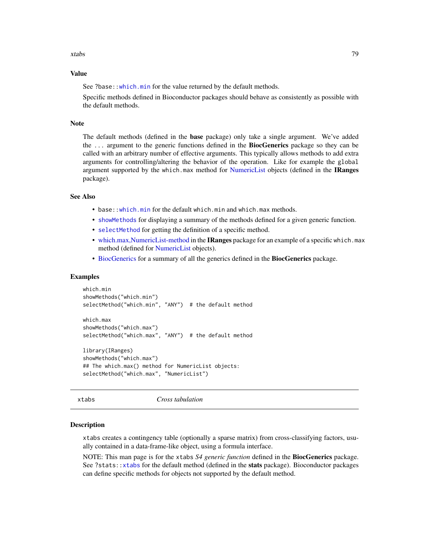<span id="page-78-1"></span>xtabs 79

#### Value

See ?base:[:which.min](#page-77-0) for the value returned by the default methods.

Specific methods defined in Bioconductor packages should behave as consistently as possible with the default methods.

#### Note

The default methods (defined in the base package) only take a single argument. We've added the ... argument to the generic functions defined in the **BiocGenerics** package so they can be called with an arbitrary number of effective arguments. This typically allows methods to add extra arguments for controlling/altering the behavior of the operation. Like for example the global argument supported by the which.max method for [NumericList](#page-0-0) objects (defined in the IRanges package).

# See Also

- base:[:which.min](#page-77-0) for the default which.min and which.max methods.
- [showMethods](#page-0-0) for displaying a summary of the methods defined for a given generic function.
- [selectMethod](#page-0-0) for getting the definition of a specific method.
- which.max, NumericList-method in the **IRanges** package for an example of a specific which.max method (defined for [NumericList](#page-0-0) objects).
- [BiocGenerics](#page-2-0) for a summary of all the generics defined in the BiocGenerics package.

#### Examples

```
which.min
showMethods("which.min")
selectMethod("which.min", "ANY") # the default method
which.max
showMethods("which.max")
selectMethod("which.max", "ANY") # the default method
library(IRanges)
showMethods("which.max")
## The which.max() method for NumericList objects:
selectMethod("which.max", "NumericList")
```
<span id="page-78-0"></span>xtabs *Cross tabulation*

#### **Description**

xtabs creates a contingency table (optionally a sparse matrix) from cross-classifying factors, usually contained in a data-frame-like object, using a formula interface.

NOTE: This man page is for the xtabs *S4 generic function* defined in the BiocGenerics package. See ?stats:[:xtabs](#page-78-0) for the default method (defined in the stats package). Bioconductor packages can define specific methods for objects not supported by the default method.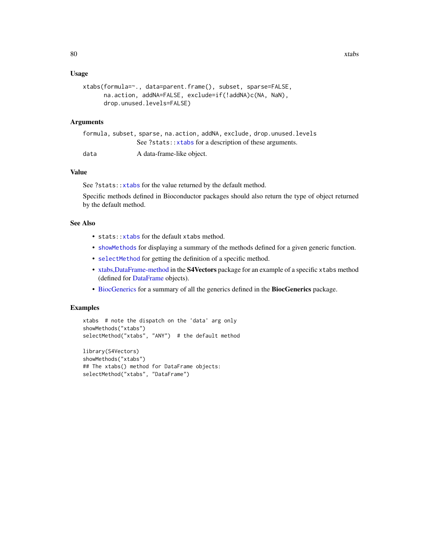#### <span id="page-79-0"></span>Usage

```
xtabs(formula=~., data=parent.frame(), subset, sparse=FALSE,
     na.action, addNA=FALSE, exclude=if(!addNA)c(NA, NaN),
     drop.unused.levels=FALSE)
```
#### Arguments

|      | formula, subset, sparse, na.action, addNA, exclude, drop.unused.levels |
|------|------------------------------------------------------------------------|
|      | See ?stats:: xtabs for a description of these arguments.               |
| data | A data-frame-like object.                                              |

# Value

See ?stats:[:xtabs](#page-78-0) for the value returned by the default method.

Specific methods defined in Bioconductor packages should also return the type of object returned by the default method.

#### See Also

- stats:: xtabs for the default xtabs method.
- [showMethods](#page-0-0) for displaying a summary of the methods defined for a given generic function.
- [selectMethod](#page-0-0) for getting the definition of a specific method.
- [xtabs,DataFrame-method](#page-0-0) in the S4Vectors package for an example of a specific xtabs method (defined for [DataFrame](#page-0-0) objects).
- [BiocGenerics](#page-2-0) for a summary of all the generics defined in the BiocGenerics package.

#### Examples

```
xtabs # note the dispatch on the 'data' arg only
showMethods("xtabs")
selectMethod("xtabs", "ANY") # the default method
library(S4Vectors)
showMethods("xtabs")
## The xtabs() method for DataFrame objects:
```
selectMethod("xtabs", "DataFrame")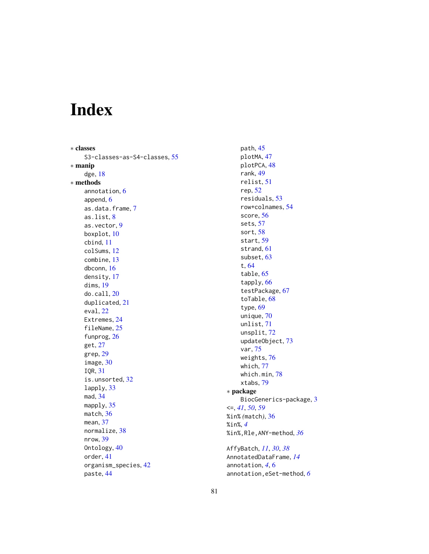# Index

∗ classes S3-classes-as-S4-classes, [55](#page-54-0) ∗ manip dge, [18](#page-17-0) ∗ methods annotation, [6](#page-5-0) append, [6](#page-5-0) as.data.frame, [7](#page-6-0) as.list, [8](#page-7-0) as.vector, [9](#page-8-0) boxplot, [10](#page-9-0) cbind, [11](#page-10-0) colSums, [12](#page-11-0) combine, [13](#page-12-0) dbconn, [16](#page-15-0) density, [17](#page-16-0) dims, [19](#page-18-0) do.call, [20](#page-19-0) duplicated, [21](#page-20-0) eval, [22](#page-21-0) Extremes, [24](#page-23-0) fileName, [25](#page-24-0) funprog, [26](#page-25-0) get, [27](#page-26-0) grep, [29](#page-28-0) image, [30](#page-29-0) IQR, [31](#page-30-0) is.unsorted, [32](#page-31-0) lapply, [33](#page-32-0) mad, [34](#page-33-0) mapply, [35](#page-34-0) match, [36](#page-35-0) mean, [37](#page-36-0) normalize, [38](#page-37-0) nrow, [39](#page-38-0) Ontology, [40](#page-39-0) order, [41](#page-40-0) organism\_species, [42](#page-41-0) paste, [44](#page-43-0)

path, [45](#page-44-0) plotMA, [47](#page-46-0) plotPCA, [48](#page-47-0) rank, [49](#page-48-0) relist, [51](#page-50-0) rep, [52](#page-51-0) residuals, [53](#page-52-0) row+colnames, [54](#page-53-0) score, [56](#page-55-0) sets, [57](#page-56-0) sort, [58](#page-57-0) start, [59](#page-58-0) strand, [61](#page-60-0) subset, [63](#page-62-0) t, [64](#page-63-0) table, [65](#page-64-0) tapply, [66](#page-65-0) testPackage, [67](#page-66-0) toTable, [68](#page-67-0) type, [69](#page-68-0) unique, [70](#page-69-0) unlist, [71](#page-70-0) unsplit, [72](#page-71-1) updateObject, [73](#page-72-0) var, [75](#page-74-2) weights, [76](#page-75-1) which, [77](#page-76-1) which.min, [78](#page-77-1) xtabs, [79](#page-78-1) ∗ package BiocGenerics-package, [3](#page-2-1) <=, *[41](#page-40-0)*, *[50](#page-49-0)*, *[59](#page-58-0)* %in% *(*match*)*, [36](#page-35-0) %in%, *[4](#page-3-0)* %in%,Rle,ANY-method, *[36](#page-35-0)* AffyBatch, *[11](#page-10-0)*, *[30](#page-29-0)*, *[38](#page-37-0)* AnnotatedDataFrame, *[14](#page-13-0)* annotation, *[4](#page-3-0)*, [6](#page-5-0)

annotation,eSet-method, *[6](#page-5-0)*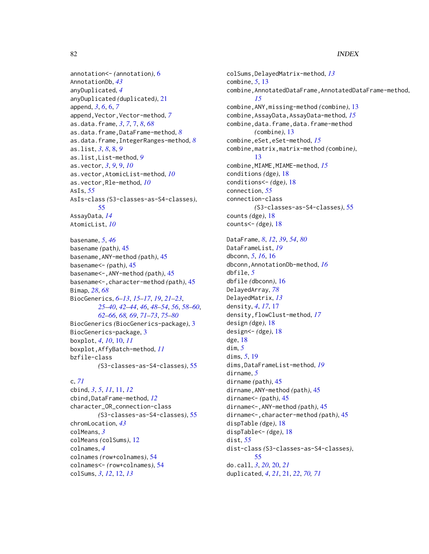#### 82 INDEX

```
annotation<- (annotation), 6
AnnotationDb, 43
anyDuplicated, 4
anyDuplicated (duplicated), 21
append, 3, 6, 6, 7
append,Vector,Vector-method, 7
as.data.frame, 3, 7, 7, 8, 68
as.data.frame,DataFrame-method, 8
as.data.frame,IntegerRanges-method, 8
as.list, 3, 8, 8, 9
as.list,List-method, 9
as.vector, 3, 9, 9, 10
as.vector,AtomicList-method, 10
as.vector,Rle-method, 10
AsIs, 55
AsIs-class (S3-classes-as-S4-classes),
        55
AssayData, 14
AtomicList, 10
```
basename, *[5](#page-4-0)*, *[46](#page-45-0)* basename *(*path*)*, [45](#page-44-0) basename,ANY-method *(*path*)*, [45](#page-44-0) basename<- *(*path*)*, [45](#page-44-0) basename<-,ANY-method *(*path*)*, [45](#page-44-0) basename<-,character-method *(*path*)*, [45](#page-44-0) Bimap, *[28](#page-27-0)*, *[68](#page-67-0)* BiocGenerics, *[6](#page-5-0)[–13](#page-12-0)*, *[15–](#page-14-0)[17](#page-16-0)*, *[19](#page-18-0)*, *[21–](#page-20-0)[23](#page-22-0)*, *[25](#page-24-0)[–40](#page-39-0)*, *[42](#page-41-0)[–44](#page-43-0)*, *[46](#page-45-0)*, *[48–](#page-47-0)[54](#page-53-0)*, *[56](#page-55-0)*, *[58–](#page-57-0)[60](#page-59-0)*, *[62](#page-61-0)[–66](#page-65-0)*, *[68,](#page-67-0) [69](#page-68-0)*, *[71–](#page-70-0)[73](#page-72-0)*, *[75–](#page-74-2)[80](#page-79-0)* BiocGenerics *(*BiocGenerics-package*)*, [3](#page-2-1) BiocGenerics-package, [3](#page-2-1) boxplot, *[4](#page-3-0)*, *[10](#page-9-0)*, [10,](#page-9-0) *[11](#page-10-0)* boxplot,AffyBatch-method, *[11](#page-10-0)* bzfile-class *(*S3-classes-as-S4-classes*)*, [55](#page-54-0)

# c, *[71](#page-70-0)*

cbind, *[3](#page-2-1)*, *[5](#page-4-0)*, *[11](#page-10-0)*, [11,](#page-10-0) *[12](#page-11-0)* cbind,DataFrame-method, *[12](#page-11-0)* character\_OR\_connection-class *(*S3-classes-as-S4-classes*)*, [55](#page-54-0) chromLocation, *[43](#page-42-0)* colMeans, *[3](#page-2-1)* colMeans *(*colSums*)*, [12](#page-11-0) colnames, *[4](#page-3-0)* colnames *(*row+colnames*)*, [54](#page-53-0) colnames<- *(*row+colnames*)*, [54](#page-53-0) colSums, *[3](#page-2-1)*, *[12](#page-11-0)*, [12,](#page-11-0) *[13](#page-12-0)*

colSums,DelayedMatrix-method, *[13](#page-12-0)* combine, *[5](#page-4-0)*, [13](#page-12-0) combine,AnnotatedDataFrame,AnnotatedDataFrame-method, *[15](#page-14-0)* combine,ANY,missing-method *(*combine*)*, [13](#page-12-0) combine,AssayData,AssayData-method, *[15](#page-14-0)* combine, data.frame, data.frame-method *(*combine*)*, [13](#page-12-0) combine,eSet,eSet-method, *[15](#page-14-0)* combine,matrix,matrix-method *(*combine*)*, [13](#page-12-0) combine,MIAME,MIAME-method, *[15](#page-14-0)* conditions *(*dge*)*, [18](#page-17-0) conditions<- *(*dge*)*, [18](#page-17-0) connection, *[55](#page-54-0)* connection-class *(*S3-classes-as-S4-classes*)*, [55](#page-54-0) counts *(*dge*)*, [18](#page-17-0) counts<- *(*dge*)*, [18](#page-17-0)

DataFrame, *[8](#page-7-0)*, *[12](#page-11-0)*, *[39](#page-38-0)*, *[54](#page-53-0)*, *[80](#page-79-0)* DataFrameList, *[19](#page-18-0)* dbconn, *[5](#page-4-0)*, *[16](#page-15-0)*, [16](#page-15-0) dbconn,AnnotationDb-method, *[16](#page-15-0)* dbfile, *[5](#page-4-0)* dbfile *(*dbconn*)*, [16](#page-15-0) DelayedArray, *[78](#page-77-1)* DelayedMatrix, *[13](#page-12-0)* density, *[4](#page-3-0)*, *[17](#page-16-0)*, [17](#page-16-0) density,flowClust-method, *[17](#page-16-0)* design *(*dge*)*, [18](#page-17-0) design<- *(*dge*)*, [18](#page-17-0) dge, [18](#page-17-0) dim, *[5](#page-4-0)* dims, *[5](#page-4-0)*, [19](#page-18-0) dims,DataFrameList-method, *[19](#page-18-0)* dirname, *[5](#page-4-0)* dirname *(*path*)*, [45](#page-44-0) dirname,ANY-method *(*path*)*, [45](#page-44-0) dirname<- *(*path*)*, [45](#page-44-0) dirname<-,ANY-method *(*path*)*, [45](#page-44-0) dirname<-,character-method *(*path*)*, [45](#page-44-0) dispTable *(*dge*)*, [18](#page-17-0) dispTable<- *(*dge*)*, [18](#page-17-0) dist, *[55](#page-54-0)* dist-class *(*S3-classes-as-S4-classes*)*, [55](#page-54-0) do.call, *[3](#page-2-1)*, *[20](#page-19-0)*, [20,](#page-19-0) *[21](#page-20-0)* duplicated, *[4](#page-3-0)*, *[21](#page-20-0)*, [21,](#page-20-0) *[22](#page-21-0)*, *[70,](#page-69-0) [71](#page-70-0)*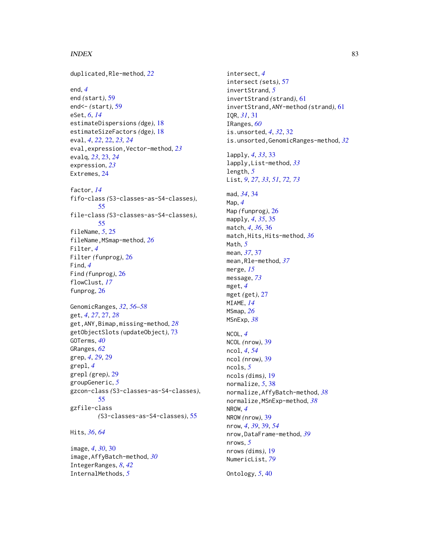#### INDEX  $83$

duplicated,Rle-method, *[22](#page-21-0)* end, *[4](#page-3-0)* end *(*start*)*, [59](#page-58-0) end<- *(*start*)*, [59](#page-58-0) eSet, *[6](#page-5-0)*, *[14](#page-13-0)* estimateDispersions *(*dge*)*, [18](#page-17-0) estimateSizeFactors *(*dge*)*, [18](#page-17-0) eval, *[4](#page-3-0)*, *[22](#page-21-0)*, [22,](#page-21-0) *[23,](#page-22-0) [24](#page-23-0)* eval,expression,Vector-method, *[23](#page-22-0)* evalq, *[23](#page-22-0)*, [23,](#page-22-0) *[24](#page-23-0)* expression, *[23](#page-22-0)* Extremes, [24](#page-23-0) factor, *[14](#page-13-0)* fifo-class *(*S3-classes-as-S4-classes*)*, [55](#page-54-0) file-class *(*S3-classes-as-S4-classes*)*, [55](#page-54-0) fileName, *[5](#page-4-0)*, [25](#page-24-0) fileName,MSmap-method, *[26](#page-25-0)* Filter, *[4](#page-3-0)* Filter *(*funprog*)*, [26](#page-25-0) Find, *[4](#page-3-0)* Find *(*funprog*)*, [26](#page-25-0) flowClust, *[17](#page-16-0)* funprog, [26](#page-25-0) GenomicRanges, *[32](#page-31-0)*, *[56–](#page-55-0)[58](#page-57-0)* get, *[4](#page-3-0)*, *[27](#page-26-0)*, [27,](#page-26-0) *[28](#page-27-0)* get,ANY,Bimap,missing-method, *[28](#page-27-0)* getObjectSlots *(*updateObject*)*, [73](#page-72-0) GOTerms, *[40](#page-39-0)* GRanges, *[62](#page-61-0)* grep, *[4](#page-3-0)*, *[29](#page-28-0)*, [29](#page-28-0) grepl, *[4](#page-3-0)* grepl *(*grep*)*, [29](#page-28-0) groupGeneric, *[5](#page-4-0)* gzcon-class *(*S3-classes-as-S4-classes*)*, [55](#page-54-0) gzfile-class *(*S3-classes-as-S4-classes*)*, [55](#page-54-0)

Hits, *[36](#page-35-0)*, *[64](#page-63-0)*

image, *[4](#page-3-0)*, *[30](#page-29-0)*, [30](#page-29-0) image,AffyBatch-method, *[30](#page-29-0)* IntegerRanges, *[8](#page-7-0)*, *[42](#page-41-0)* InternalMethods, *[5](#page-4-0)*

intersect, *[4](#page-3-0)* intersect *(*sets*)*, [57](#page-56-0) invertStrand, *[5](#page-4-0)* invertStrand *(*strand*)*, [61](#page-60-0) invertStrand,ANY-method *(*strand*)*, [61](#page-60-0) IQR, *[31](#page-30-0)*, [31](#page-30-0) IRanges, *[60](#page-59-0)* is.unsorted, *[4](#page-3-0)*, *[32](#page-31-0)*, [32](#page-31-0) is.unsorted,GenomicRanges-method, *[32](#page-31-0)* lapply, *[4](#page-3-0)*, *[33](#page-32-0)*, [33](#page-32-0) lapply,List-method, *[33](#page-32-0)* length, *[5](#page-4-0)* List, *[9](#page-8-0)*, *[27](#page-26-0)*, *[33](#page-32-0)*, *[51](#page-50-0)*, *[72,](#page-71-1) [73](#page-72-0)* mad, *[34](#page-33-0)*, [34](#page-33-0) Map, *[4](#page-3-0)* Map *(*funprog*)*, [26](#page-25-0) mapply, *[4](#page-3-0)*, *[35](#page-34-0)*, [35](#page-34-0) match, *[4](#page-3-0)*, *[36](#page-35-0)*, [36](#page-35-0) match,Hits,Hits-method, *[36](#page-35-0)* Math, *[5](#page-4-0)* mean, *[37](#page-36-0)*, [37](#page-36-0) mean,Rle-method, *[37](#page-36-0)* merge, *[15](#page-14-0)* message, *[73](#page-72-0)* mget, *[4](#page-3-0)* mget *(*get*)*, [27](#page-26-0) MIAME, *[14](#page-13-0)* MSmap, *[26](#page-25-0)* MSnExp, *[38](#page-37-0)* NCOL, *[4](#page-3-0)* NCOL *(*nrow*)*, [39](#page-38-0) ncol, *[4](#page-3-0)*, *[54](#page-53-0)* ncol *(*nrow*)*, [39](#page-38-0) ncols, *[5](#page-4-0)* ncols *(*dims*)*, [19](#page-18-0) normalize, *[5](#page-4-0)*, [38](#page-37-0) normalize,AffyBatch-method, *[38](#page-37-0)* normalize,MSnExp-method, *[38](#page-37-0)* NROW, *[4](#page-3-0)* NROW *(*nrow*)*, [39](#page-38-0) nrow, *[4](#page-3-0)*, *[39](#page-38-0)*, [39,](#page-38-0) *[54](#page-53-0)* nrow,DataFrame-method, *[39](#page-38-0)* nrows, *[5](#page-4-0)* nrows *(*dims*)*, [19](#page-18-0) NumericList, *[79](#page-78-1)* Ontology, *[5](#page-4-0)*, [40](#page-39-0)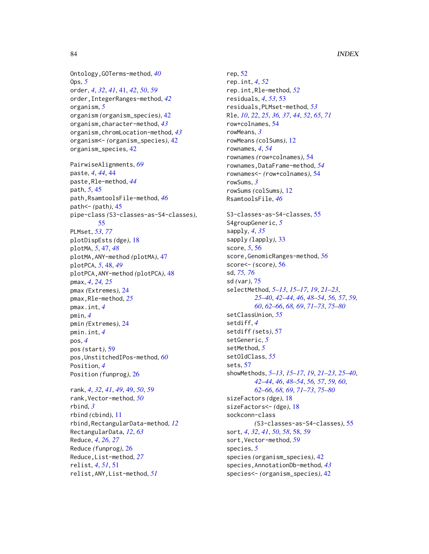Ontology,GOTerms-method, *[40](#page-39-0)* Ops, *[5](#page-4-0)* order, *[4](#page-3-0)*, *[32](#page-31-0)*, *[41](#page-40-0)*, [41,](#page-40-0) *[42](#page-41-0)*, *[50](#page-49-0)*, *[59](#page-58-0)* order,IntegerRanges-method, *[42](#page-41-0)* organism, *[5](#page-4-0)* organism *(*organism\_species*)*, [42](#page-41-0) organism,character-method, *[43](#page-42-0)* organism,chromLocation-method, *[43](#page-42-0)* organism<- *(*organism\_species*)*, [42](#page-41-0) organism\_species, [42](#page-41-0)

PairwiseAlignments, *[69](#page-68-0)* paste, *[4](#page-3-0)*, *[44](#page-43-0)*, [44](#page-43-0) paste,Rle-method, *[44](#page-43-0)* path, *[5](#page-4-0)*, [45](#page-44-0) path,RsamtoolsFile-method, *[46](#page-45-0)* path<- *(*path*)*, [45](#page-44-0) pipe-class *(*S3-classes-as-S4-classes*)*, [55](#page-54-0) PLMset, *[53](#page-52-0)*, *[77](#page-76-1)* plotDispEsts *(*dge*)*, [18](#page-17-0) plotMA, *[5](#page-4-0)*, [47,](#page-46-0) *[48](#page-47-0)* plotMA,ANY-method *(*plotMA*)*, [47](#page-46-0) plotPCA, *[5](#page-4-0)*, [48,](#page-47-0) *[49](#page-48-0)* plotPCA,ANY-method *(*plotPCA*)*, [48](#page-47-0) pmax, *[4](#page-3-0)*, *[24,](#page-23-0) [25](#page-24-0)* pmax *(*Extremes*)*, [24](#page-23-0) pmax,Rle-method, *[25](#page-24-0)* pmax.int, *[4](#page-3-0)* pmin, *[4](#page-3-0)* pmin *(*Extremes*)*, [24](#page-23-0) pmin.int, *[4](#page-3-0)* pos, *[4](#page-3-0)* pos *(*start*)*, [59](#page-58-0) pos,UnstitchedIPos-method, *[60](#page-59-0)* Position, *[4](#page-3-0)* Position *(*funprog*)*, [26](#page-25-0)

```
rank, 4, 32, 41, 49, 49, 50, 59
rank,Vector-method, 50
rbind, 3
rbind (cbind), 11
rbind,RectangularData-method, 12
RectangularData, 12, 63
Reduce, 4, 26, 27
Reduce (funprog), 26
Reduce,List-method, 27
relist, 4, 51, 51
relist,ANY,List-method, 51
```
rep, [52](#page-51-0) rep.int, *[4](#page-3-0)*, *[52](#page-51-0)* rep.int,Rle-method, *[52](#page-51-0)* residuals, *[4](#page-3-0)*, *[53](#page-52-0)*, [53](#page-52-0) residuals,PLMset-method, *[53](#page-52-0)* Rle, *[10](#page-9-0)*, *[22](#page-21-0)*, *[25](#page-24-0)*, *[36,](#page-35-0) [37](#page-36-0)*, *[44](#page-43-0)*, *[52](#page-51-0)*, *[65](#page-64-0)*, *[71](#page-70-0)* row+colnames, [54](#page-53-0) rowMeans, *[3](#page-2-1)* rowMeans *(*colSums*)*, [12](#page-11-0) rownames, *[4](#page-3-0)*, *[54](#page-53-0)* rownames *(*row+colnames*)*, [54](#page-53-0) rownames,DataFrame-method, *[54](#page-53-0)* rownames<- *(*row+colnames*)*, [54](#page-53-0) rowSums, *[3](#page-2-1)* rowSums *(*colSums*)*, [12](#page-11-0) RsamtoolsFile, *[46](#page-45-0)* S3-classes-as-S4-classes, [55](#page-54-0) S4groupGeneric, *[5](#page-4-0)* sapply, *[4](#page-3-0)*, *[35](#page-34-0)* sapply *(*lapply*)*, [33](#page-32-0) score, *[5](#page-4-0)*, [56](#page-55-0) score,GenomicRanges-method, *[56](#page-55-0)* score<- *(*score*)*, [56](#page-55-0) sd, *[75,](#page-74-2) [76](#page-75-1)* sd *(*var*)*, [75](#page-74-2) selectMethod, *[5](#page-4-0)[–13](#page-12-0)*, *[15](#page-14-0)[–17](#page-16-0)*, *[19](#page-18-0)*, *[21](#page-20-0)[–23](#page-22-0)*, *[25](#page-24-0)[–40](#page-39-0)*, *[42](#page-41-0)[–44](#page-43-0)*, *[46](#page-45-0)*, *[48](#page-47-0)[–54](#page-53-0)*, *[56,](#page-55-0) [57](#page-56-0)*, *[59,](#page-58-0) [60](#page-59-0)*, *[62](#page-61-0)[–66](#page-65-0)*, *[68,](#page-67-0) [69](#page-68-0)*, *[71](#page-70-0)[–73](#page-72-0)*, *[75](#page-74-2)[–80](#page-79-0)* setClassUnion, *[55](#page-54-0)* setdiff, *[4](#page-3-0)* setdiff *(*sets*)*, [57](#page-56-0) setGeneric, *[5](#page-4-0)* setMethod, *[5](#page-4-0)* setOldClass, *[55](#page-54-0)* sets, [57](#page-56-0) showMethods, *[5](#page-4-0)[–13](#page-12-0)*, *[15](#page-14-0)[–17](#page-16-0)*, *[19](#page-18-0)*, *[21](#page-20-0)[–23](#page-22-0)*, *[25](#page-24-0)[–40](#page-39-0)*, *[42](#page-41-0)[–44](#page-43-0)*, *[46](#page-45-0)*, *[48](#page-47-0)[–54](#page-53-0)*, *[56,](#page-55-0) [57](#page-56-0)*, *[59,](#page-58-0) [60](#page-59-0)*, *[62](#page-61-0)[–66](#page-65-0)*, *[68,](#page-67-0) [69](#page-68-0)*, *[71](#page-70-0)[–73](#page-72-0)*, *[75](#page-74-2)[–80](#page-79-0)* sizeFactors *(*dge*)*, [18](#page-17-0) sizeFactors<- *(*dge*)*, [18](#page-17-0) sockconn-class *(*S3-classes-as-S4-classes*)*, [55](#page-54-0) sort, *[4](#page-3-0)*, *[32](#page-31-0)*, *[41](#page-40-0)*, *[50](#page-49-0)*, *[58](#page-57-0)*, [58,](#page-57-0) *[59](#page-58-0)* sort, Vector-method, [59](#page-58-0) species, *[5](#page-4-0)* species *(*organism\_species*)*, [42](#page-41-0) species,AnnotationDb-method, *[43](#page-42-0)* species<- *(*organism\_species*)*, [42](#page-41-0)